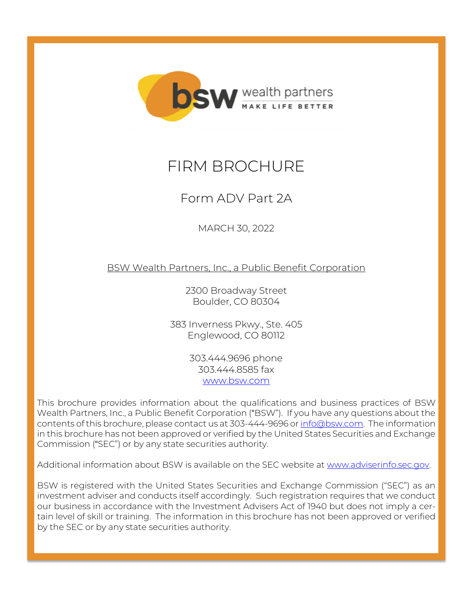

# FIRM BROCHURE

# Form ADV Part 2A

MARCH 30, 2022

BSW Wealth Partners, Inc., a Public Benefit Corporation

2300 Broadway Street Boulder, CO 80304

383 Inverness Pkwy., Ste. 405 Englewood, CO 80112

> 303.444.9696 phone 303.444.8585 fax [www.bsw.com](http://www.bsw.com/)

This brochure provides information about the qualifications and business practices of BSW Wealth Partners, Inc., a Public Benefit Corporation ("BSW"). If you have any questions about the contents of this brochure, please contact us at 303-444-9696 or [info@bsw.com.](mailto:info@bsw.com) The information in this brochure has not been approved or verified by the United States Securities and Exchange Commission ("SEC") or by any state securities authority.

Additional information about BSW is available on the SEC website at [www.adviserinfo.sec.gov.](http://www.adviserinfo.sec.gov/)

BSW is registered with the United States Securities and Exchange Commission ("SEC") as an investment adviser and conducts itself accordingly. Such registration requires that we conduct our business in accordance with the Investment Advisers Act of 1940 but does not imply a certain level of skill or training. The information in this brochure has not been approved or verified by the SEC or by any state securities authority.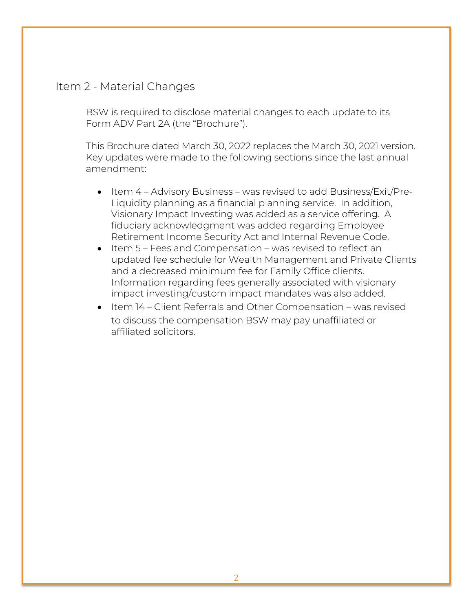# Item 2 - Material Changes

BSW is required to disclose material changes to each update to its Form ADV Part 2A (the "Brochure").

This Brochure dated March 30, 2022 replaces the March 30, 2021 version. Key updates were made to the following sections since the last annual amendment:

- Item 4 Advisory Business was revised to add Business/Exit/Pre-Liquidity planning as a financial planning service. In addition, Visionary Impact Investing was added as a service offering. A fiduciary acknowledgment was added regarding Employee Retirement Income Security Act and Internal Revenue Code.
- Item 5 Fees and Compensation was revised to reflect an updated fee schedule for Wealth Management and Private Clients and a decreased minimum fee for Family Office clients. Information regarding fees generally associated with visionary impact investing/custom impact mandates was also added.
- Item 14 Client Referrals and Other Compensation was revised to discuss the compensation BSW may pay unaffiliated or affiliated solicitors.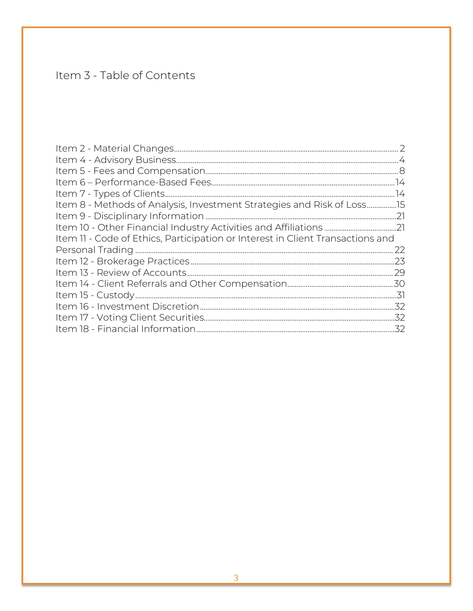# Item 3 - Table of Contents

| Item 8 - Methods of Analysis, Investment Strategies and Risk of Loss           |     |
|--------------------------------------------------------------------------------|-----|
|                                                                                |     |
|                                                                                |     |
| Item 11 - Code of Ethics, Participation or Interest in Client Transactions and |     |
|                                                                                | 22  |
|                                                                                |     |
|                                                                                | .29 |
|                                                                                |     |
|                                                                                |     |
|                                                                                |     |
|                                                                                |     |
|                                                                                |     |
|                                                                                |     |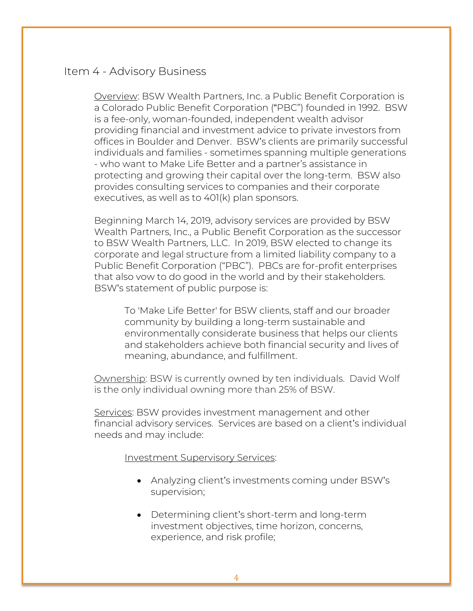# Item 4 - Advisory Business

Overview: BSW Wealth Partners, Inc. a Public Benefit Corporation is a Colorado Public Benefit Corporation ("PBC") founded in 1992. BSW is a fee-only, woman-founded, [independent](http://www.baydushsimonweaver.com/bsw.about.iwa.html) wealth advisor providing financial and investment advice to private investors from offices in Boulder and Denver. BSW's clients are primarily successful individuals and families - sometimes spanning multiple generations - who want to Make Life Better and a partner's assistance in protecting and growing their capital over the long-term. BSW also provides consulting services to companies and their corporate executives, as well as to 401(k) plan sponsors.

Beginning March 14, 2019, advisory services are provided by BSW Wealth Partners, Inc., a Public Benefit Corporation as the successor to BSW Wealth Partners, LLC. In 2019, BSW elected to change its corporate and legal structure from a limited liability company to a Public Benefit Corporation ("PBC"). PBCs are for-profit enterprises that also vow to do good in the world and by their stakeholders. BSW's statement of public purpose is:

To 'Make Life Better' for BSW clients, staff and our broader community by building a long-term sustainable and environmentally considerate business that helps our clients and stakeholders achieve both financial security and lives of meaning, abundance, and fulfillment.

Ownership: BSW is currently owned by ten individuals. David Wolf is the only individual owning more than 25% of BSW.

Services: BSW provides investment management and other financial advisory services. Services are based on a client's individual needs and may include:

#### Investment Supervisory Services:

- Analyzing client's investments coming under BSW's supervision;
- Determining client's short-term and long-term investment objectives, time horizon, concerns, experience, and risk profile;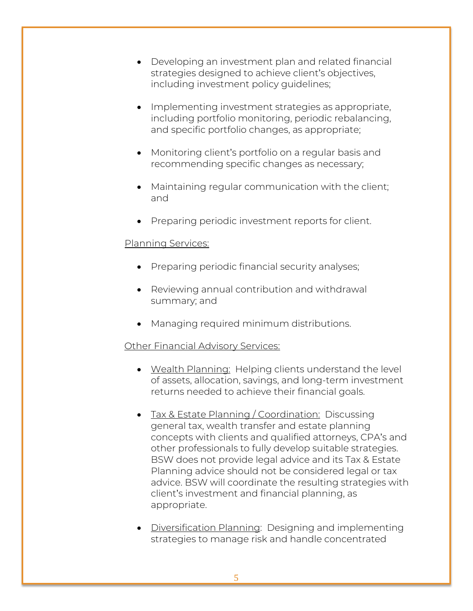- Developing an investment plan and related financial strategies designed to achieve client's objectives, including investment policy guidelines;
- Implementing investment strategies as appropriate, including portfolio monitoring, periodic rebalancing, and specific portfolio changes, as appropriate;
- Monitoring client's portfolio on a regular basis and recommending specific changes as necessary;
- Maintaining regular communication with the client; and
- Preparing periodic investment reports for client.

#### Planning Services:

- Preparing periodic financial security analyses;
- Reviewing annual contribution and withdrawal summary; and
- Managing required minimum distributions.

## Other Financial Advisory Services:

- Wealth Planning: Helping clients understand the level of assets, allocation, savings, and long-term investment returns needed to achieve their financial goals.
- Tax & Estate Planning / Coordination: Discussing general tax, wealth transfer and estate planning concepts with clients and qualified attorneys, CPA's and other professionals to fully develop suitable strategies. BSW does not provide legal advice and its Tax & Estate Planning advice should not be considered legal or tax advice. BSW will coordinate the resulting strategies with client's investment and financial planning, as appropriate.
- Diversification Planning: Designing and implementing strategies to manage risk and handle concentrated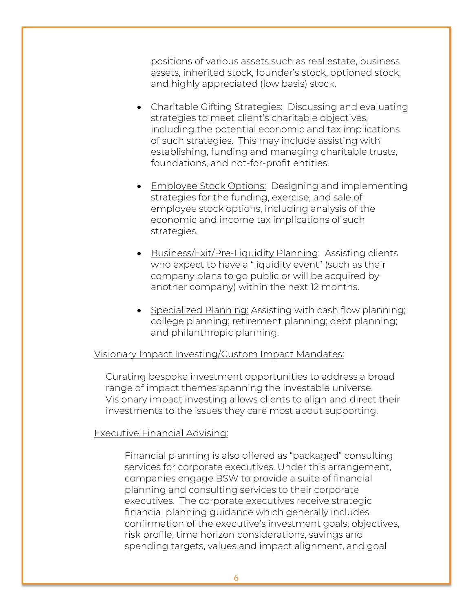positions of various assets such as real estate, business assets, inherited stock, founder's stock, optioned stock, and highly appreciated (low basis) stock.

- Charitable Gifting Strategies: Discussing and evaluating strategies to meet client's charitable objectives, including the potential economic and tax implications of such strategies. This may include assisting with establishing, funding and managing charitable trusts, foundations, and not-for-profit entities.
- Employee Stock Options: Designing and implementing strategies for the funding, exercise, and sale of employee stock options, including analysis of the economic and income tax implications of such strategies.
- Business/Exit/Pre-Liquidity Planning: Assisting clients who expect to have a "liquidity event" (such as their company plans to go public or will be acquired by another company) within the next 12 months.
- Specialized Planning: Assisting with cash flow planning; college planning; retirement planning; debt planning; and philanthropic planning.

#### Visionary Impact Investing/Custom Impact Mandates:

Curating bespoke investment opportunities to address a broad range of impact themes spanning the investable universe. Visionary impact investing allows clients to align and direct their investments to the issues they care most about supporting.

## Executive Financial Advising:

Financial planning is also offered as "packaged" consulting services for corporate executives. Under this arrangement, companies engage BSW to provide a suite of financial planning and consulting services to their corporate executives. The corporate executives receive strategic financial planning guidance which generally includes confirmation of the executive's investment goals, objectives, risk profile, time horizon considerations, savings and spending targets, values and impact alignment, and goal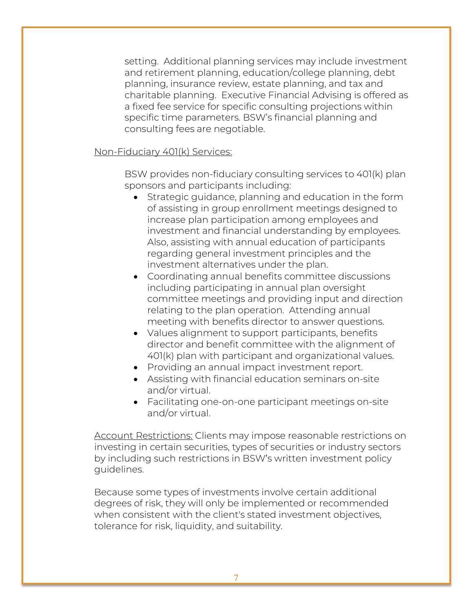setting. Additional planning services may include investment and retirement planning, education/college planning, debt planning, insurance review, estate planning, and tax and charitable planning. Executive Financial Advising is offered as a fixed fee service for specific consulting projections within specific time parameters. BSW's financial planning and consulting fees are negotiable.

#### Non-Fiduciary 401(k) Services:

BSW provides non-fiduciary consulting services to 401(k) plan sponsors and participants including:

- Strategic guidance, planning and education in the form of assisting in group enrollment meetings designed to increase plan participation among employees and investment and financial understanding by employees. Also, assisting with annual education of participants regarding general investment principles and the investment alternatives under the plan.
- Coordinating annual benefits committee discussions including participating in annual plan oversight committee meetings and providing input and direction relating to the plan operation. Attending annual meeting with benefits director to answer questions.
- Values alignment to support participants, benefits director and benefit committee with the alignment of 401(k) plan with participant and organizational values.
- Providing an annual impact investment report.
- Assisting with financial education seminars on-site and/or virtual.
- Facilitating one-on-one participant meetings on-site and/or virtual.

Account Restrictions: Clients may impose reasonable restrictions on investing in certain securities, types of securities or industry sectors by including such restrictions in BSW's written investment policy guidelines.

Because some types of investments involve certain additional degrees of risk, they will only be implemented or recommended when consistent with the client's stated investment objectives, tolerance for risk, liquidity, and suitability.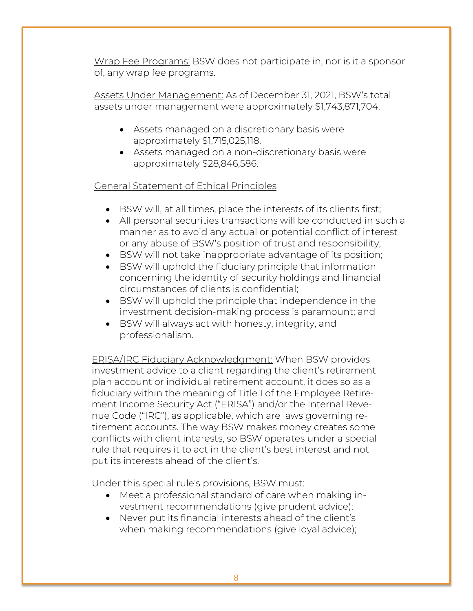Wrap Fee Programs: BSW does not participate in, nor is it a sponsor of, any wrap fee programs.

Assets Under Management: As of December 31, 2021, BSW's total assets under management were approximately \$1,743,871,704.

- Assets managed on a discretionary basis were approximately \$1,715,025,118.
- Assets managed on a non-discretionary basis were approximately \$28,846,586.

General Statement of Ethical Principles

- BSW will, at all times, place the interests of its clients first;
- All personal securities transactions will be conducted in such a manner as to avoid any actual or potential conflict of interest or any abuse of BSW's position of trust and responsibility;
- BSW will not take inappropriate advantage of its position;
- BSW will uphold the fiduciary principle that information concerning the identity of security holdings and financial circumstances of clients is confidential;
- BSW will uphold the principle that independence in the investment decision-making process is paramount; and
- BSW will always act with honesty, integrity, and professionalism.

ERISA/IRC Fiduciary Acknowledgment: When BSW provides investment advice to a client regarding the client's retirement plan account or individual retirement account, it does so as a fiduciary within the meaning of Title I of the Employee Retirement Income Security Act ("ERISA") and/or the Internal Revenue Code ("IRC"), as applicable, which are laws governing retirement accounts. The way BSW makes money creates some conflicts with client interests, so BSW operates under a special rule that requires it to act in the client's best interest and not put its interests ahead of the client's.

Under this special rule's provisions, BSW must:

- Meet a professional standard of care when making investment recommendations (give prudent advice);
- Never put its financial interests ahead of the client's when making recommendations (give loyal advice);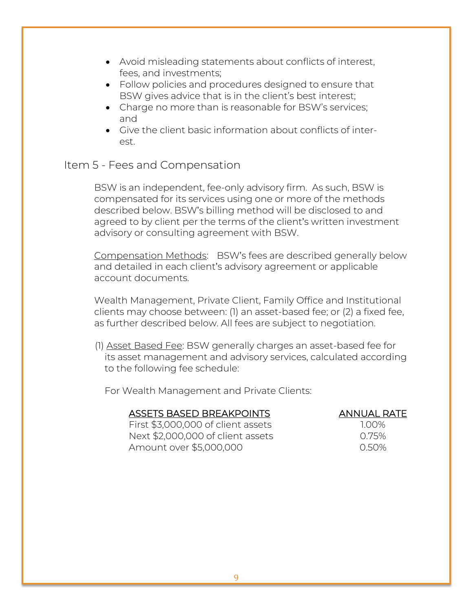- Avoid misleading statements about conflicts of interest, fees, and investments;
- Follow policies and procedures designed to ensure that BSW gives advice that is in the client's best interest;
- Charge no more than is reasonable for BSW's services: and
- Give the client basic information about conflicts of interest.

# Item 5 - Fees and Compensation

BSW is an independent, fee-only advisory firm. As such, BSW is compensated for its services using one or more of the methods described below. BSW's billing method will be disclosed to and agreed to by client per the terms of the client's written investment advisory or consulting agreement with BSW.

Compensation Methods: BSW's fees are described generally below and detailed in each client's advisory agreement or applicable account documents.

Wealth Management, Private Client, Family Office and Institutional clients may choose between: (1) an asset-based fee; or (2) a fixed fee, as further described below. All fees are subject to negotiation.

(1) Asset Based Fee: BSW generally charges an asset-based fee for its asset management and advisory services, calculated according to the following fee schedule:

For Wealth Management and Private Clients:

## ASSETS BASED BREAKPOINTS ANNUAL RATE

First \$3,000,000 of client assets 1.00% Next \$2,000,000 of client assets 0.75% Amount over \$5,000,000 0.50%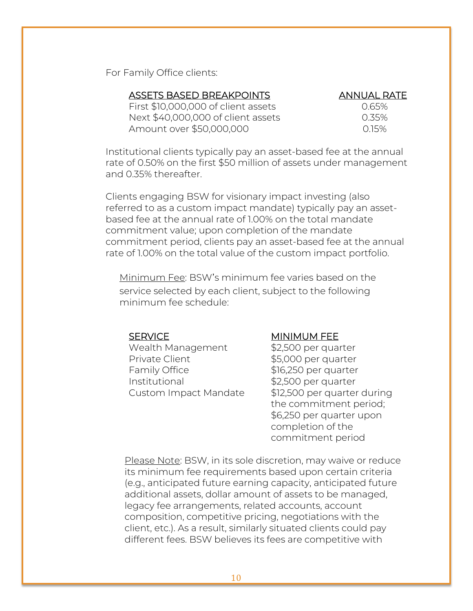For Family Office clients:

#### ASSETS BASED BREAKPOINTS ANNUAL RATE

First \$10,000,000 of client assets 0.65% Next \$40,000,000 of client assets 0.35% Amount over \$50,000,000 0.15%

Institutional clients typically pay an asset-based fee at the annual rate of 0.50% on the first \$50 million of assets under management and 0.35% thereafter.

Clients engaging BSW for visionary impact investing (also referred to as a custom impact mandate) typically pay an assetbased fee at the annual rate of 1.00% on the total mandate commitment value; upon completion of the mandate commitment period, clients pay an asset-based fee at the annual rate of 1.00% on the total value of the custom impact portfolio.

Minimum Fee: BSW's minimum fee varies based on the service selected by each client, subject to the following minimum fee schedule:

Wealth Management \$2,500 per quarter Private Client  $$5,000$  per quarter Family Office \$16,250 per quarter Institutional \$2,500 per quarter

#### SERVICE MINIMUM FEE

Custom Impact Mandate \$12,500 per quarter during the commitment period; \$6,250 per quarter upon completion of the commitment period

Please Note: BSW, in its sole discretion, may waive or reduce its minimum fee requirements based upon certain criteria (e.g., anticipated future earning capacity, anticipated future additional assets, dollar amount of assets to be managed, legacy fee arrangements, related accounts, account composition, competitive pricing, negotiations with the client, etc.). As a result, similarly situated clients could pay different fees. BSW believes its fees are competitive with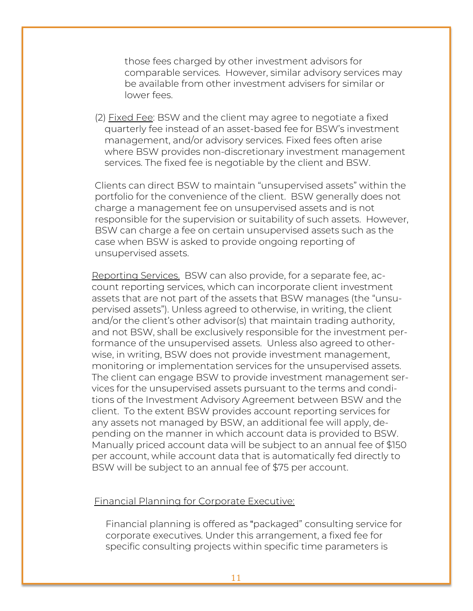those fees charged by other investment advisors for comparable services. However, similar advisory services may be available from other investment advisers for similar or lower fees.

(2) Fixed Fee: BSW and the client may agree to negotiate a fixed quarterly fee instead of an asset-based fee for BSW's investment management, and/or advisory services. Fixed fees often arise where BSW provides non-discretionary investment management services. The fixed fee is negotiable by the client and BSW.

Clients can direct BSW to maintain "unsupervised assets" within the portfolio for the convenience of the client. BSW generally does not charge a management fee on unsupervised assets and is not responsible for the supervision or suitability of such assets. However, BSW can charge a fee on certain unsupervised assets such as the case when BSW is asked to provide ongoing reporting of unsupervised assets.

Reporting Services. BSW can also provide, for a separate fee, account reporting services, which can incorporate client investment assets that are not part of the assets that BSW manages (the "unsupervised assets"). Unless agreed to otherwise, in writing, the client and/or the client's other advisor(s) that maintain trading authority, and not BSW, shall be exclusively responsible for the investment performance of the unsupervised assets. Unless also agreed to otherwise, in writing, BSW does not provide investment management, monitoring or implementation services for the unsupervised assets. The client can engage BSW to provide investment management services for the unsupervised assets pursuant to the terms and conditions of the Investment Advisory Agreement between BSW and the client. To the extent BSW provides account reporting services for any assets not managed by BSW, an additional fee will apply, depending on the manner in which account data is provided to BSW. Manually priced account data will be subject to an annual fee of \$150 per account, while account data that is automatically fed directly to BSW will be subject to an annual fee of \$75 per account.

#### Financial Planning for Corporate Executive:

Financial planning is offered as "packaged" consulting service for corporate executives. Under this arrangement, a fixed fee for specific consulting projects within specific time parameters is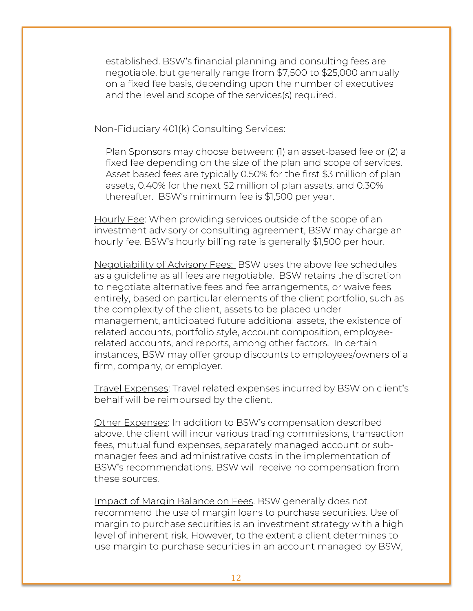established. BSW's financial planning and consulting fees are negotiable, but generally range from \$7,500 to \$25,000 annually on a fixed fee basis, depending upon the number of executives and the level and scope of the services(s) required.

Non-Fiduciary 401(k) Consulting Services:

Plan Sponsors may choose between: (1) an asset-based fee or (2) a fixed fee depending on the size of the plan and scope of services. Asset based fees are typically 0.50% for the first \$3 million of plan assets, 0.40% for the next \$2 million of plan assets, and 0.30% thereafter. BSW's minimum fee is \$1,500 per year.

Hourly Fee: When providing services outside of the scope of an investment advisory or consulting agreement, BSW may charge an hourly fee. BSW's hourly billing rate is generally \$1,500 per hour.

Negotiability of Advisory Fees: BSW uses the above fee schedules as a guideline as all fees are negotiable. BSW retains the discretion to negotiate alternative fees and fee arrangements, or waive fees entirely, based on particular elements of the client portfolio, such as the complexity of the client, assets to be placed under management, anticipated future additional assets, the existence of related accounts, portfolio style, account composition, employeerelated accounts, and reports, among other factors. In certain instances, BSW may offer group discounts to employees/owners of a firm, company, or employer.

Travel Expenses: Travel related expenses incurred by BSW on client's behalf will be reimbursed by the client.

Other Expenses: In addition to BSW's compensation described above, the client will incur various trading commissions, transaction fees, mutual fund expenses, separately managed account or submanager fees and administrative costs in the implementation of BSW's recommendations. BSW will receive no compensation from these sources.

Impact of Margin Balance on Fees. BSW generally does not recommend the use of margin loans to purchase securities. Use of margin to purchase securities is an investment strategy with a high level of inherent risk. However, to the extent a client determines to use margin to purchase securities in an account managed by BSW,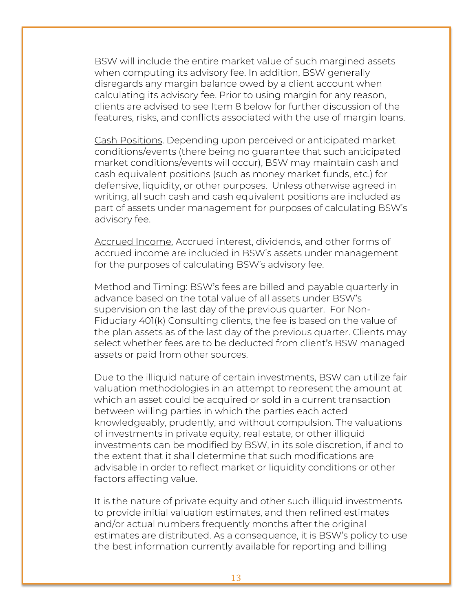BSW will include the entire market value of such margined assets when computing its advisory fee. In addition, BSW generally disregards any margin balance owed by a client account when calculating its advisory fee. Prior to using margin for any reason, clients are advised to see Item 8 below for further discussion of the features, risks, and conflicts associated with the use of margin loans.

Cash Positions. Depending upon perceived or anticipated market conditions/events (there being no guarantee that such anticipated market conditions/events will occur), BSW may maintain cash and cash equivalent positions (such as money market funds, etc.) for defensive, liquidity, or other purposes. Unless otherwise agreed in writing, all such cash and cash equivalent positions are included as part of assets under management for purposes of calculating BSW's advisory fee.

Accrued Income. Accrued interest, dividends, and other forms of accrued income are included in BSW's assets under management for the purposes of calculating BSW's advisory fee.

Method and Timing: BSW's fees are billed and payable quarterly in advance based on the total value of all assets under BSW's supervision on the last day of the previous quarter. For Non-Fiduciary 401(k) Consulting clients, the fee is based on the value of the plan assets as of the last day of the previous quarter. Clients may select whether fees are to be deducted from client's BSW managed assets or paid from other sources.

Due to the illiquid nature of certain investments, BSW can utilize fair valuation methodologies in an attempt to represent the amount at which an asset could be acquired or sold in a current transaction between willing parties in which the parties each acted knowledgeably, prudently, and without compulsion. The valuations of investments in private equity, real estate, or other illiquid investments can be modified by BSW, in its sole discretion, if and to the extent that it shall determine that such modifications are advisable in order to reflect market or liquidity conditions or other factors affecting value.

It is the nature of private equity and other such illiquid investments to provide initial valuation estimates, and then refined estimates and/or actual numbers frequently months after the original estimates are distributed. As a consequence, it is BSW's policy to use the best information currently available for reporting and billing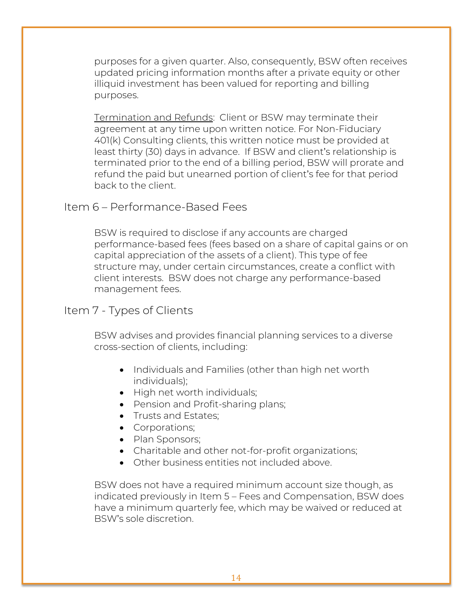purposes for a given quarter. Also, consequently, BSW often receives updated pricing information months after a private equity or other illiquid investment has been valued for reporting and billing purposes.

Termination and Refunds: Client or BSW may terminate their agreement at any time upon written notice. For Non-Fiduciary 401(k) Consulting clients, this written notice must be provided at least thirty (30) days in advance. If BSW and client's relationship is terminated prior to the end of a billing period, BSW will prorate and refund the paid but unearned portion of client's fee for that period back to the client.

# Item 6 – Performance-Based Fees

BSW is required to disclose if any accounts are charged performance-based fees (fees based on a share of capital gains or on capital appreciation of the assets of a client). This type of fee structure may, under certain circumstances, create a conflict with client interests. BSW does not charge any performance-based management fees.

# Item 7 - Types of Clients

BSW advises and provides financial planning services to a diverse cross-section of clients, including:

- Individuals and Families (other than high net worth individuals);
- High net worth individuals;
- Pension and Profit-sharing plans;
- Trusts and Estates;
- Corporations;
- Plan Sponsors;
- Charitable and other not-for-profit organizations;
- Other business entities not included above.

BSW does not have a required minimum account size though, as indicated previously in Item 5 – Fees and Compensation, BSW does have a minimum quarterly fee, which may be waived or reduced at BSW's sole discretion.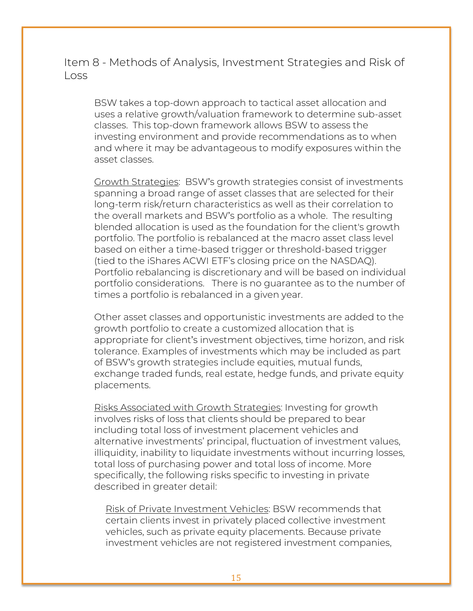Item 8 - Methods of Analysis, Investment Strategies and Risk of Loss

BSW takes a top-down approach to tactical asset allocation and uses a relative growth/valuation framework to determine sub-asset classes. This top-down framework allows BSW to assess the investing environment and provide recommendations as to when and where it may be advantageous to modify exposures within the asset classes.

Growth Strategies: BSW's growth strategies consist of investments spanning a broad range of asset classes that are selected for their long-term risk/return characteristics as well as their correlation to the overall markets and BSW's portfolio as a whole. The resulting blended allocation is used as the foundation for the client's growth portfolio. The portfolio is rebalanced at the macro asset class level based on either a time-based trigger or threshold-based trigger (tied to the iShares ACWI ETF's closing price on the NASDAQ). Portfolio rebalancing is discretionary and will be based on individual portfolio considerations. There is no guarantee as to the number of times a portfolio is rebalanced in a given year.

Other asset classes and opportunistic investments are added to the growth portfolio to create a customized allocation that is appropriate for client's investment objectives, time horizon, and risk tolerance. Examples of investments which may be included as part of BSW's growth strategies include equities, mutual funds, exchange traded funds, real estate, hedge funds, and private equity placements.

Risks Associated with Growth Strategies: Investing for growth involves risks of loss that clients should be prepared to bear including total loss of investment placement vehicles and alternative investments' principal, fluctuation of investment values, illiquidity, inability to liquidate investments without incurring losses, total loss of purchasing power and total loss of income. More specifically, the following risks specific to investing in private described in greater detail:

Risk of Private Investment Vehicles: BSW recommends that certain clients invest in privately placed collective investment vehicles, such as private equity placements. Because private investment vehicles are not registered investment companies,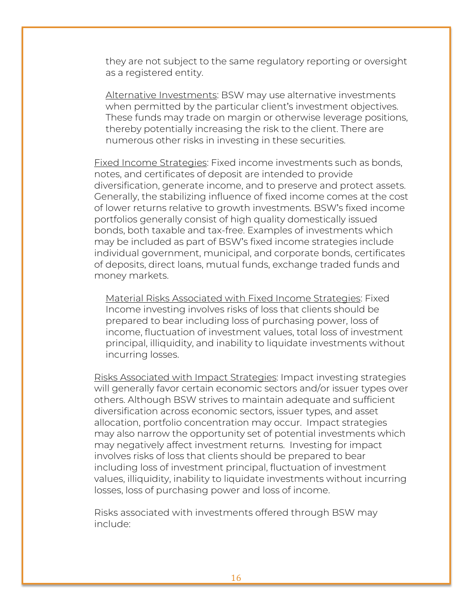they are not subject to the same regulatory reporting or oversight as a registered entity.

Alternative Investments: BSW may use alternative investments when permitted by the particular client's investment objectives. These funds may trade on margin or otherwise leverage positions, thereby potentially increasing the risk to the client. There are numerous other risks in investing in these securities.

Fixed Income Strategies: Fixed income investments such as bonds, notes, and certificates of deposit are intended to provide diversification, generate income, and to preserve and protect assets. Generally, the stabilizing influence of fixed income comes at the cost of lower returns relative to growth investments. BSW's fixed income portfolios generally consist of high quality domestically issued bonds, both taxable and tax-free. Examples of investments which may be included as part of BSW's fixed income strategies include individual government, municipal, and corporate bonds, certificates of deposits, direct loans, mutual funds, exchange traded funds and money markets.

Material Risks Associated with Fixed Income Strategies: Fixed Income investing involves risks of loss that clients should be prepared to bear including loss of purchasing power, loss of income, fluctuation of investment values, total loss of investment principal, illiquidity, and inability to liquidate investments without incurring losses.

Risks Associated with Impact Strategies: Impact investing strategies will generally favor certain economic sectors and/or issuer types over others. Although BSW strives to maintain adequate and sufficient diversification across economic sectors, issuer types, and asset allocation, portfolio concentration may occur. Impact strategies may also narrow the opportunity set of potential investments which may negatively affect investment returns. Investing for impact involves risks of loss that clients should be prepared to bear including loss of investment principal, fluctuation of investment values, illiquidity, inability to liquidate investments without incurring losses, loss of purchasing power and loss of income.

Risks associated with investments offered through BSW may include: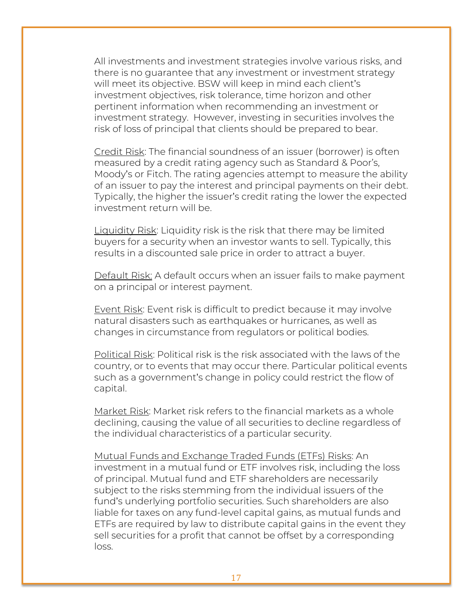All investments and investment strategies involve various risks, and there is no guarantee that any investment or investment strategy will meet its objective. BSW will keep in mind each client's investment objectives, risk tolerance, time horizon and other pertinent information when recommending an investment or investment strategy. However, investing in securities involves the risk of loss of principal that clients should be prepared to bear.

Credit Risk: The financial soundness of an issuer (borrower) is often measured by a credit rating agency such as Standard & Poor's, Moody's or Fitch. The rating agencies attempt to measure the ability of an issuer to pay the interest and principal payments on their debt. Typically, the higher the issuer's credit rating the lower the expected investment return will be.

Liquidity Risk: Liquidity risk is the risk that there may be limited buyers for a security when an investor wants to sell. Typically, this results in a discounted sale price in order to attract a buyer.

Default Risk: A default occurs when an issuer fails to make payment on a principal or interest payment.

Event Risk: Event risk is difficult to predict because it may involve natural disasters such as earthquakes or hurricanes, as well as changes in circumstance from regulators or political bodies.

Political Risk: Political risk is the risk associated with the laws of the country, or to events that may occur there. Particular political events such as a government's change in policy could restrict the flow of capital.

Market Risk: Market risk refers to the financial markets as a whole declining, causing the value of all securities to decline regardless of the individual characteristics of a particular security.

Mutual Funds and Exchange Traded Funds (ETFs) Risks: An investment in a mutual fund or ETF involves risk, including the loss of principal. Mutual fund and ETF shareholders are necessarily subject to the risks stemming from the individual issuers of the fund's underlying portfolio securities. Such shareholders are also liable for taxes on any fund-level capital gains, as mutual funds and ETFs are required by law to distribute capital gains in the event they sell securities for a profit that cannot be offset by a corresponding loss.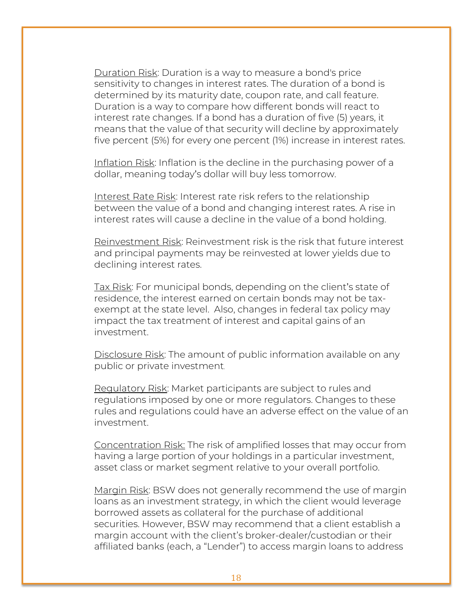Duration Risk: Duration is a way to measure a bond's price sensitivity to changes in interest rates. The duration of a bond is determined by its maturity date, coupon rate, and call feature. Duration is a way to compare how different bonds will react to interest rate changes. If a bond has a duration of five (5) years, it means that the value of that security will decline by approximately five percent (5%) for every one percent (1%) increase in interest rates.

Inflation Risk: Inflation is the decline in the purchasing power of a dollar, meaning today's dollar will buy less tomorrow.

Interest Rate Risk: Interest rate risk refers to the relationship between the value of a bond and changing interest rates. A rise in interest rates will cause a decline in the value of a bond holding.

Reinvestment Risk: Reinvestment risk is the risk that future interest and principal payments may be reinvested at lower yields due to declining interest rates.

Tax Risk: For municipal bonds, depending on the client's state of residence, the interest earned on certain bonds may not be taxexempt at the state level. Also, changes in federal tax policy may impact the tax treatment of interest and capital gains of an investment.

Disclosure Risk: The amount of public information available on any public or private investment.

Regulatory Risk: Market participants are subject to rules and regulations imposed by one or more regulators. Changes to these rules and regulations could have an adverse effect on the value of an investment.

Concentration Risk: The risk of amplified losses that may occur from having a large portion of your holdings in a particular investment, asset class or market segment relative to your overall portfolio.

Margin Risk: BSW does not generally recommend the use of margin loans as an investment strategy, in which the client would leverage borrowed assets as collateral for the purchase of additional securities. However, BSW may recommend that a client establish a margin account with the client's broker-dealer/custodian or their affiliated banks (each, a "Lender") to access margin loans to address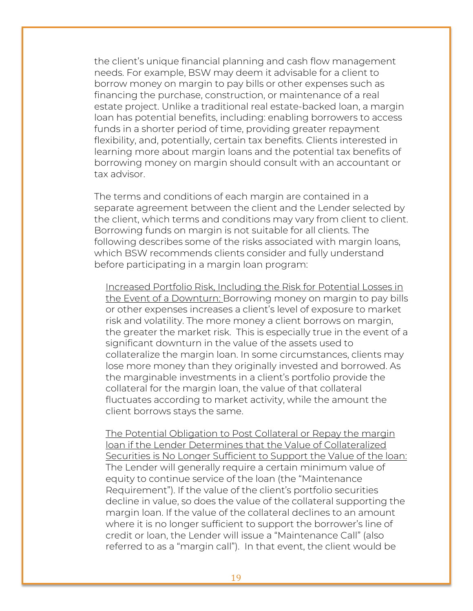the client's unique financial planning and cash flow management needs. For example, BSW may deem it advisable for a client to borrow money on margin to pay bills or other expenses such as financing the purchase, construction, or maintenance of a real estate project. Unlike a traditional real estate-backed loan, a margin loan has potential benefits, including: enabling borrowers to access funds in a shorter period of time, providing greater repayment flexibility, and, potentially, certain tax benefits. Clients interested in learning more about margin loans and the potential tax benefits of borrowing money on margin should consult with an accountant or tax advisor.

The terms and conditions of each margin are contained in a separate agreement between the client and the Lender selected by the client, which terms and conditions may vary from client to client. Borrowing funds on margin is not suitable for all clients. The following describes some of the risks associated with margin loans, which BSW recommends clients consider and fully understand before participating in a margin loan program:

Increased Portfolio Risk, Including the Risk for Potential Losses in the Event of a Downturn: Borrowing money on margin to pay bills or other expenses increases a client's level of exposure to market risk and volatility. The more money a client borrows on margin, the greater the market risk. This is especially true in the event of a significant downturn in the value of the assets used to collateralize the margin loan. In some circumstances, clients may lose more money than they originally invested and borrowed. As the marginable investments in a client's portfolio provide the collateral for the margin loan, the value of that collateral fluctuates according to market activity, while the amount the client borrows stays the same.

The Potential Obligation to Post Collateral or Repay the margin loan if the Lender Determines that the Value of Collateralized Securities is No Longer Sufficient to Support the Value of the loan: The Lender will generally require a certain minimum value of equity to continue service of the loan (the "Maintenance Requirement"). If the value of the client's portfolio securities decline in value, so does the value of the collateral supporting the margin loan. If the value of the collateral declines to an amount where it is no longer sufficient to support the borrower's line of credit or loan, the Lender will issue a "Maintenance Call" (also referred to as a "margin call"). In that event, the client would be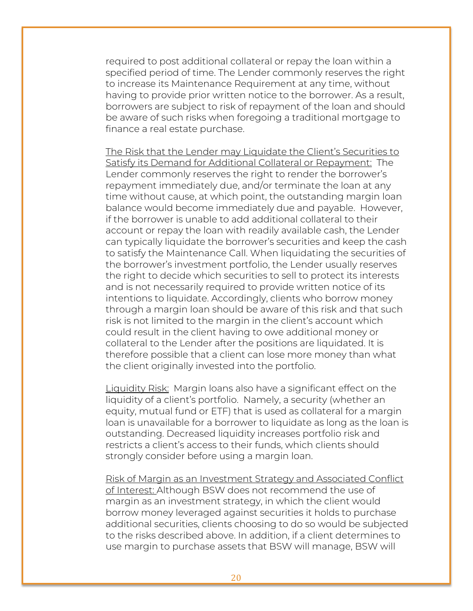required to post additional collateral or repay the loan within a specified period of time. The Lender commonly reserves the right to increase its Maintenance Requirement at any time, without having to provide prior written notice to the borrower. As a result, borrowers are subject to risk of repayment of the loan and should be aware of such risks when foregoing a traditional mortgage to finance a real estate purchase.

The Risk that the Lender may Liquidate the Client's Securities to Satisfy its Demand for Additional Collateral or Repayment: The Lender commonly reserves the right to render the borrower's repayment immediately due, and/or terminate the loan at any time without cause, at which point, the outstanding margin loan balance would become immediately due and payable. However, if the borrower is unable to add additional collateral to their account or repay the loan with readily available cash, the Lender can typically liquidate the borrower's securities and keep the cash to satisfy the Maintenance Call. When liquidating the securities of the borrower's investment portfolio, the Lender usually reserves the right to decide which securities to sell to protect its interests and is not necessarily required to provide written notice of its intentions to liquidate. Accordingly, clients who borrow money through a margin loan should be aware of this risk and that such risk is not limited to the margin in the client's account which could result in the client having to owe additional money or collateral to the Lender after the positions are liquidated. It is therefore possible that a client can lose more money than what the client originally invested into the portfolio.

Liquidity Risk: Margin loans also have a significant effect on the liquidity of a client's portfolio. Namely, a security (whether an equity, mutual fund or ETF) that is used as collateral for a margin loan is unavailable for a borrower to liquidate as long as the loan is outstanding. Decreased liquidity increases portfolio risk and restricts a client's access to their funds, which clients should strongly consider before using a margin loan.

Risk of Margin as an Investment Strategy and Associated Conflict of Interest: Although BSW does not recommend the use of margin as an investment strategy, in which the client would borrow money leveraged against securities it holds to purchase additional securities, clients choosing to do so would be subjected to the risks described above. In addition, if a client determines to use margin to purchase assets that BSW will manage, BSW will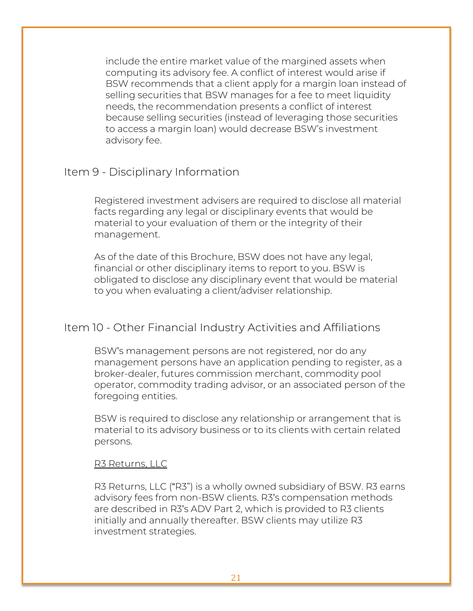include the entire market value of the margined assets when computing its advisory fee. A conflict of interest would arise if BSW recommends that a client apply for a margin loan instead of selling securities that BSW manages for a fee to meet liquidity needs, the recommendation presents a conflict of interest because selling securities (instead of leveraging those securities to access a margin loan) would decrease BSW's investment advisory fee.

# Item 9 - Disciplinary Information

Registered investment advisers are required to disclose all material facts regarding any legal or disciplinary events that would be material to your evaluation of them or the integrity of their management.

As of the date of this Brochure, BSW does not have any legal, financial or other disciplinary items to report to you. BSW is obligated to disclose any disciplinary event that would be material to you when evaluating a client/adviser relationship.

# Item 10 - Other Financial Industry Activities and Affiliations

BSW's management persons are not registered, nor do any management persons have an application pending to register, as a broker-dealer, futures commission merchant, commodity pool operator, commodity trading advisor, or an associated person of the foregoing entities.

BSW is required to disclose any relationship or arrangement that is material to its advisory business or to its clients with certain related persons.

#### R3 Returns, LLC

R3 Returns, LLC ("R3") is a wholly owned subsidiary of BSW. R3 earns advisory fees from non-BSW clients. R3's compensation methods are described in R3's ADV Part 2, which is provided to R3 clients initially and annually thereafter. BSW clients may utilize R3 investment strategies.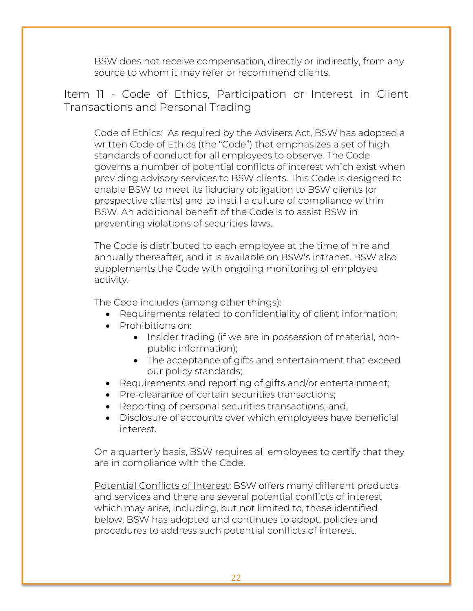BSW does not receive compensation, directly or indirectly, from any source to whom it may refer or recommend clients.

# Item 11 - Code of Ethics, Participation or Interest in Client Transactions and Personal Trading

Code of Ethics: As required by the Advisers Act, BSW has adopted a written Code of Ethics (the "Code") that emphasizes a set of high standards of conduct for all employees to observe. The Code governs a number of potential conflicts of interest which exist when providing advisory services to BSW clients. This Code is designed to enable BSW to meet its fiduciary obligation to BSW clients (or prospective clients) and to instill a culture of compliance within BSW. An additional benefit of the Code is to assist BSW in preventing violations of securities laws.

The Code is distributed to each employee at the time of hire and annually thereafter, and it is available on BSW's intranet. BSW also supplements the Code with ongoing monitoring of employee activity.

The Code includes (among other things):

- Requirements related to confidentiality of client information;
- Prohibitions on:
	- Insider trading (if we are in possession of material, nonpublic information);
	- The acceptance of gifts and entertainment that exceed our policy standards;
- Requirements and reporting of gifts and/or entertainment;
- Pre-clearance of certain securities transactions;
- Reporting of personal securities transactions; and,
- Disclosure of accounts over which employees have beneficial interest.

On a quarterly basis, BSW requires all employees to certify that they are in compliance with the Code.

Potential Conflicts of Interest: BSW offers many different products and services and there are several potential conflicts of interest which may arise, including, but not limited to, those identified below. BSW has adopted and continues to adopt, policies and procedures to address such potential conflicts of interest.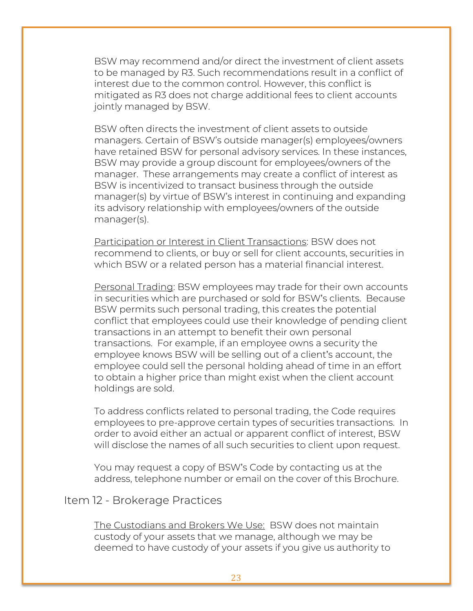BSW may recommend and/or direct the investment of client assets to be managed by R3. Such recommendations result in a conflict of interest due to the common control. However, this conflict is mitigated as R3 does not charge additional fees to client accounts jointly managed by BSW.

BSW often directs the investment of client assets to outside managers. Certain of BSW's outside manager(s) employees/owners have retained BSW for personal advisory services. In these instances, BSW may provide a group discount for employees/owners of the manager. These arrangements may create a conflict of interest as BSW is incentivized to transact business through the outside manager(s) by virtue of BSW's interest in continuing and expanding its advisory relationship with employees/owners of the outside manager(s).

Participation or Interest in Client Transactions: BSW does not recommend to clients, or buy or sell for client accounts, securities in which BSW or a related person has a material financial interest.

Personal Trading: BSW employees may trade for their own accounts in securities which are purchased or sold for BSW's clients. Because BSW permits such personal trading, this creates the potential conflict that employees could use their knowledge of pending client transactions in an attempt to benefit their own personal transactions. For example, if an employee owns a security the employee knows BSW will be selling out of a client's account, the employee could sell the personal holding ahead of time in an effort to obtain a higher price than might exist when the client account holdings are sold.

To address conflicts related to personal trading, the Code requires employees to pre-approve certain types of securities transactions. In order to avoid either an actual or apparent conflict of interest, BSW will disclose the names of all such securities to client upon request.

You may request a copy of BSW's Code by contacting us at the address, telephone number or email on the cover of this Brochure.

# Item 12 - Brokerage Practices

The Custodians and Brokers We Use: BSW does not maintain custody of your assets that we manage, although we may be deemed to have custody of your assets if you give us authority to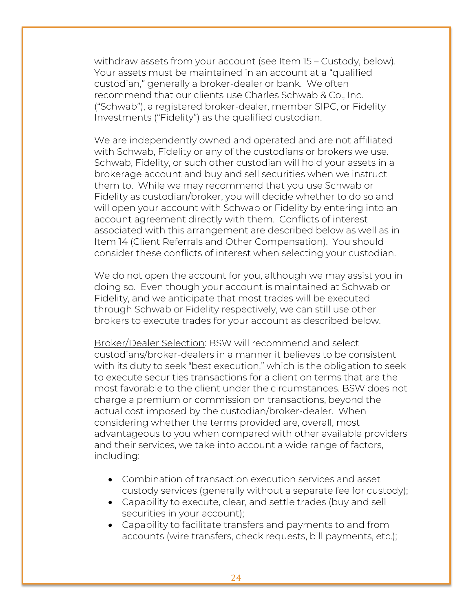withdraw assets from your account (see Item 15 – Custody, below). Your assets must be maintained in an account at a "qualified custodian," generally a broker-dealer or bank. We often recommend that our clients use Charles Schwab & Co., Inc. ("Schwab"), a registered broker-dealer, member SIPC, or Fidelity Investments ("Fidelity") as the qualified custodian.

We are independently owned and operated and are not affiliated with Schwab, Fidelity or any of the custodians or brokers we use. Schwab, Fidelity, or such other custodian will hold your assets in a brokerage account and buy and sell securities when we instruct them to. While we may recommend that you use Schwab or Fidelity as custodian/broker, you will decide whether to do so and will open your account with Schwab or Fidelity by entering into an account agreement directly with them. Conflicts of interest associated with this arrangement are described below as well as in Item 14 (Client Referrals and Other Compensation). You should consider these conflicts of interest when selecting your custodian.

We do not open the account for you, although we may assist you in doing so. Even though your account is maintained at Schwab or Fidelity, and we anticipate that most trades will be executed through Schwab or Fidelity respectively, we can still use other brokers to execute trades for your account as described below.

Broker/Dealer Selection: BSW will recommend and select custodians/broker-dealers in a manner it believes to be consistent with its duty to seek "best execution," which is the obligation to seek to execute securities transactions for a client on terms that are the most favorable to the client under the circumstances. BSW does not charge a premium or commission on transactions, beyond the actual cost imposed by the custodian/broker-dealer. When considering whether the terms provided are, overall, most advantageous to you when compared with other available providers and their services, we take into account a wide range of factors, including:

- Combination of transaction execution services and asset custody services (generally without a separate fee for custody);
- Capability to execute, clear, and settle trades (buy and sell securities in your account);
- Capability to facilitate transfers and payments to and from accounts (wire transfers, check requests, bill payments, etc.);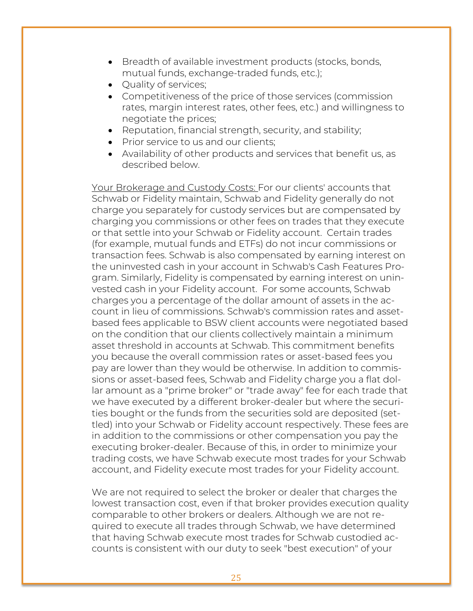- Breadth of available investment products (stocks, bonds, mutual funds, exchange-traded funds, etc.);
- Quality of services;
- Competitiveness of the price of those services (commission rates, margin interest rates, other fees, etc.) and willingness to negotiate the prices;
- Reputation, financial strength, security, and stability;
- Prior service to us and our clients:
- Availability of other products and services that benefit us, as described below.

Your Brokerage and Custody Costs: For our clients' accounts that Schwab or Fidelity maintain, Schwab and Fidelity generally do not charge you separately for custody services but are compensated by charging you commissions or other fees on trades that they execute or that settle into your Schwab or Fidelity account. Certain trades (for example, mutual funds and ETFs) do not incur commissions or transaction fees. Schwab is also compensated by earning interest on the uninvested cash in your account in Schwab's Cash Features Program. Similarly, Fidelity is compensated by earning interest on uninvested cash in your Fidelity account. For some accounts, Schwab charges you a percentage of the dollar amount of assets in the account in lieu of commissions. Schwab's commission rates and assetbased fees applicable to BSW client accounts were negotiated based on the condition that our clients collectively maintain a minimum asset threshold in accounts at Schwab. This commitment benefits you because the overall commission rates or asset-based fees you pay are lower than they would be otherwise. In addition to commissions or asset-based fees, Schwab and Fidelity charge you a flat dollar amount as a "prime broker" or "trade away" fee for each trade that we have executed by a different broker-dealer but where the securities bought or the funds from the securities sold are deposited (settled) into your Schwab or Fidelity account respectively. These fees are in addition to the commissions or other compensation you pay the executing broker-dealer. Because of this, in order to minimize your trading costs, we have Schwab execute most trades for your Schwab account, and Fidelity execute most trades for your Fidelity account.

We are not required to select the broker or dealer that charges the lowest transaction cost, even if that broker provides execution quality comparable to other brokers or dealers. Although we are not required to execute all trades through Schwab, we have determined that having Schwab execute most trades for Schwab custodied accounts is consistent with our duty to seek "best execution" of your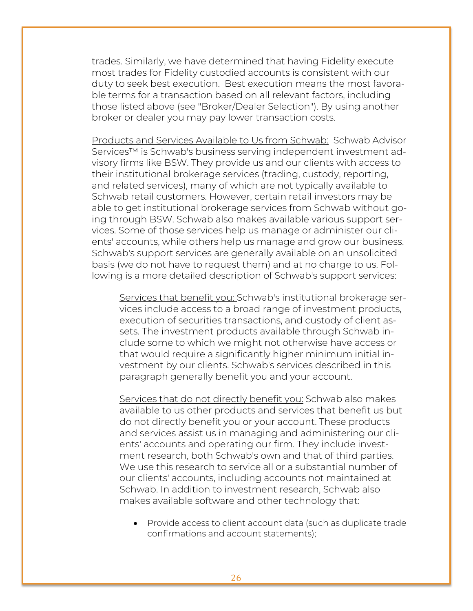trades. Similarly, we have determined that having Fidelity execute most trades for Fidelity custodied accounts is consistent with our duty to seek best execution. Best execution means the most favorable terms for a transaction based on all relevant factors, including those listed above (see "Broker/Dealer Selection"). By using another broker or dealer you may pay lower transaction costs.

Products and Services Available to Us from Schwab: Schwab Advisor Services™ is Schwab's business serving independent investment advisory firms like BSW. They provide us and our clients with access to their institutional brokerage services (trading, custody, reporting, and related services), many of which are not typically available to Schwab retail customers. However, certain retail investors may be able to get institutional brokerage services from Schwab without going through BSW. Schwab also makes available various support services. Some of those services help us manage or administer our clients' accounts, while others help us manage and grow our business. Schwab's support services are generally available on an unsolicited basis (we do not have to request them) and at no charge to us. Following is a more detailed description of Schwab's support services:

Services that benefit you: Schwab's institutional brokerage services include access to a broad range of investment products, execution of securities transactions, and custody of client assets. The investment products available through Schwab include some to which we might not otherwise have access or that would require a significantly higher minimum initial investment by our clients. Schwab's services described in this paragraph generally benefit you and your account.

Services that do not directly benefit you: Schwab also makes available to us other products and services that benefit us but do not directly benefit you or your account. These products and services assist us in managing and administering our clients' accounts and operating our firm. They include investment research, both Schwab's own and that of third parties. We use this research to service all or a substantial number of our clients' accounts, including accounts not maintained at Schwab. In addition to investment research, Schwab also makes available software and other technology that:

• Provide access to client account data (such as duplicate trade confirmations and account statements);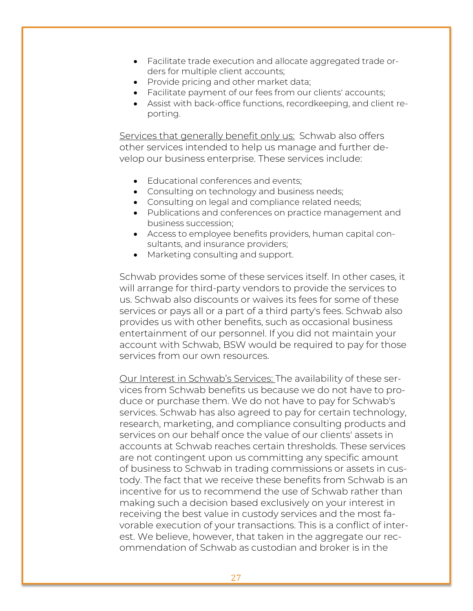- Facilitate trade execution and allocate aggregated trade orders for multiple client accounts;
- Provide pricing and other market data;
- Facilitate payment of our fees from our clients' accounts;
- Assist with back-office functions, recordkeeping, and client reporting.

Services that generally benefit only us: Schwab also offers other services intended to help us manage and further develop our business enterprise. These services include:

- Educational conferences and events;
- Consulting on technology and business needs;
- Consulting on legal and compliance related needs;
- Publications and conferences on practice management and business succession;
- Access to employee benefits providers, human capital consultants, and insurance providers;
- Marketing consulting and support.

Schwab provides some of these services itself. In other cases, it will arrange for third-party vendors to provide the services to us. Schwab also discounts or waives its fees for some of these services or pays all or a part of a third party's fees. Schwab also provides us with other benefits, such as occasional business entertainment of our personnel. If you did not maintain your account with Schwab, BSW would be required to pay for those services from our own resources.

Our Interest in Schwab's Services: The availability of these services from Schwab benefits us because we do not have to produce or purchase them. We do not have to pay for Schwab's services. Schwab has also agreed to pay for certain technology, research, marketing, and compliance consulting products and services on our behalf once the value of our clients' assets in accounts at Schwab reaches certain thresholds. These services are not contingent upon us committing any specific amount of business to Schwab in trading commissions or assets in custody. The fact that we receive these benefits from Schwab is an incentive for us to recommend the use of Schwab rather than making such a decision based exclusively on your interest in receiving the best value in custody services and the most favorable execution of your transactions. This is a conflict of interest. We believe, however, that taken in the aggregate our recommendation of Schwab as custodian and broker is in the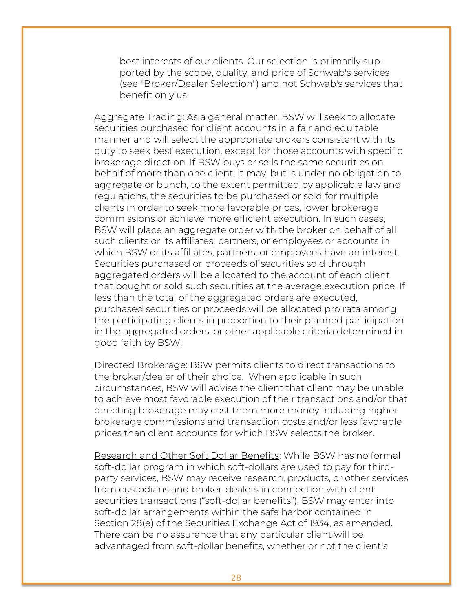best interests of our clients. Our selection is primarily supported by the scope, quality, and price of Schwab's services (see "Broker/Dealer Selection") and not Schwab's services that benefit only us.

Aggregate Trading: As a general matter, BSW will seek to allocate securities purchased for client accounts in a fair and equitable manner and will select the appropriate brokers consistent with its duty to seek best execution, except for those accounts with specific brokerage direction. If BSW buys or sells the same securities on behalf of more than one client, it may, but is under no obligation to, aggregate or bunch, to the extent permitted by applicable law and regulations, the securities to be purchased or sold for multiple clients in order to seek more favorable prices, lower brokerage commissions or achieve more efficient execution. In such cases, BSW will place an aggregate order with the broker on behalf of all such clients or its affiliates, partners, or employees or accounts in which BSW or its affiliates, partners, or employees have an interest. Securities purchased or proceeds of securities sold through aggregated orders will be allocated to the account of each client that bought or sold such securities at the average execution price. If less than the total of the aggregated orders are executed, purchased securities or proceeds will be allocated pro rata among the participating clients in proportion to their planned participation in the aggregated orders, or other applicable criteria determined in good faith by BSW.

Directed Brokerage: BSW permits clients to direct transactions to the broker/dealer of their choice. When applicable in such circumstances, BSW will advise the client that client may be unable to achieve most favorable execution of their transactions and/or that directing brokerage may cost them more money including higher brokerage commissions and transaction costs and/or less favorable prices than client accounts for which BSW selects the broker.

Research and Other Soft Dollar Benefits: While BSW has no formal soft-dollar program in which soft-dollars are used to pay for thirdparty services, BSW may receive research, products, or other services from custodians and broker-dealers in connection with client securities transactions ("soft-dollar benefits"). BSW may enter into soft-dollar arrangements within the safe harbor contained in Section 28(e) of the Securities Exchange Act of 1934, as amended. There can be no assurance that any particular client will be advantaged from soft-dollar benefits, whether or not the client's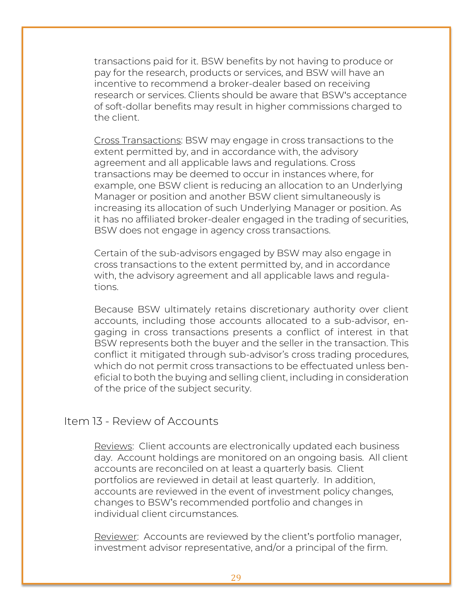transactions paid for it. BSW benefits by not having to produce or pay for the research, products or services, and BSW will have an incentive to recommend a broker-dealer based on receiving research or services. Clients should be aware that BSW's acceptance of soft-dollar benefits may result in higher commissions charged to the client.

Cross Transactions: BSW may engage in cross transactions to the extent permitted by, and in accordance with, the advisory agreement and all applicable laws and regulations. Cross transactions may be deemed to occur in instances where, for example, one BSW client is reducing an allocation to an Underlying Manager or position and another BSW client simultaneously is increasing its allocation of such Underlying Manager or position. As it has no affiliated broker-dealer engaged in the trading of securities, BSW does not engage in agency cross transactions.

Certain of the sub-advisors engaged by BSW may also engage in cross transactions to the extent permitted by, and in accordance with, the advisory agreement and all applicable laws and regulations.

Because BSW ultimately retains discretionary authority over client accounts, including those accounts allocated to a sub-advisor, engaging in cross transactions presents a conflict of interest in that BSW represents both the buyer and the seller in the transaction. This conflict it mitigated through sub-advisor's cross trading procedures, which do not permit cross transactions to be effectuated unless beneficial to both the buying and selling client, including in consideration of the price of the subject security.

## Item 13 - Review of Accounts

Reviews: Client accounts are electronically updated each business day. Account holdings are monitored on an ongoing basis. All client accounts are reconciled on at least a quarterly basis. Client portfolios are reviewed in detail at least quarterly. In addition, accounts are reviewed in the event of investment policy changes, changes to BSW's recommended portfolio and changes in individual client circumstances.

Reviewer: Accounts are reviewed by the client's portfolio manager, investment advisor representative, and/or a principal of the firm.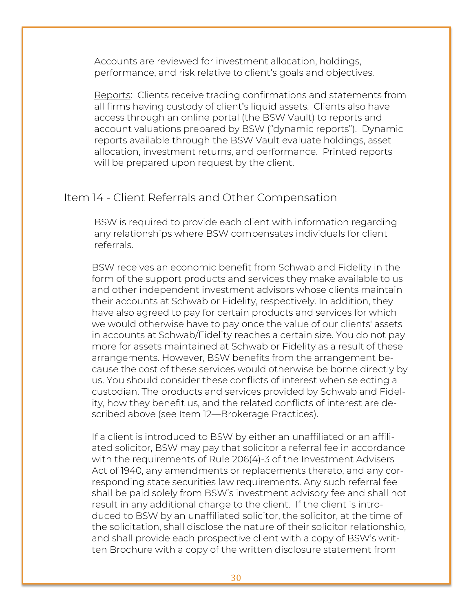Accounts are reviewed for investment allocation, holdings, performance, and risk relative to client's goals and objectives.

Reports: Clients receive trading confirmations and statements from all firms having custody of client's liquid assets. Clients also have access through an online portal (the BSW Vault) to reports and account valuations prepared by BSW ("dynamic reports"). Dynamic reports available through the BSW Vault evaluate holdings, asset allocation, investment returns, and performance. Printed reports will be prepared upon request by the client.

# Item 14 - Client Referrals and Other Compensation

BSW is required to provide each client with information regarding any relationships where BSW compensates individuals for client referrals.

BSW receives an economic benefit from Schwab and Fidelity in the form of the support products and services they make available to us and other independent investment advisors whose clients maintain their accounts at Schwab or Fidelity, respectively. In addition, they have also agreed to pay for certain products and services for which we would otherwise have to pay once the value of our clients' assets in accounts at Schwab/Fidelity reaches a certain size. You do not pay more for assets maintained at Schwab or Fidelity as a result of these arrangements. However, BSW benefits from the arrangement because the cost of these services would otherwise be borne directly by us. You should consider these conflicts of interest when selecting a custodian. The products and services provided by Schwab and Fidelity, how they benefit us, and the related conflicts of interest are described above (see Item 12—Brokerage Practices).

If a client is introduced to BSW by either an unaffiliated or an affiliated solicitor, BSW may pay that solicitor a referral fee in accordance with the requirements of Rule 206(4)-3 of the Investment Advisers Act of 1940, any amendments or replacements thereto, and any corresponding state securities law requirements. Any such referral fee shall be paid solely from BSW's investment advisory fee and shall not result in any additional charge to the client. If the client is introduced to BSW by an unaffiliated solicitor, the solicitor, at the time of the solicitation, shall disclose the nature of their solicitor relationship, and shall provide each prospective client with a copy of BSW's written Brochure with a copy of the written disclosure statement from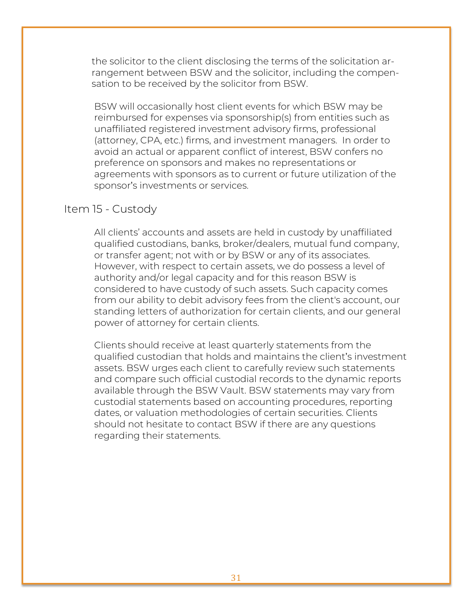the solicitor to the client disclosing the terms of the solicitation arrangement between BSW and the solicitor, including the compensation to be received by the solicitor from BSW.

BSW will occasionally host client events for which BSW may be reimbursed for expenses via sponsorship(s) from entities such as unaffiliated registered investment advisory firms, professional (attorney, CPA, etc.) firms, and investment managers. In order to avoid an actual or apparent conflict of interest, BSW confers no preference on sponsors and makes no representations or agreements with sponsors as to current or future utilization of the sponsor's investments or services.

# Item 15 - Custody

All clients' accounts and assets are held in custody by unaffiliated qualified custodians, banks, broker/dealers, mutual fund company, or transfer agent; not with or by BSW or any of its associates. However, with respect to certain assets, we do possess a level of authority and/or legal capacity and for this reason BSW is considered to have custody of such assets. Such capacity comes from our ability to debit advisory fees from the client's account, our standing letters of authorization for certain clients, and our general power of attorney for certain clients.

Clients should receive at least quarterly statements from the qualified custodian that holds and maintains the client's investment assets. BSW urges each client to carefully review such statements and compare such official custodial records to the dynamic reports available through the BSW Vault. BSW statements may vary from custodial statements based on accounting procedures, reporting dates, or valuation methodologies of certain securities. Clients should not hesitate to contact BSW if there are any questions regarding their statements.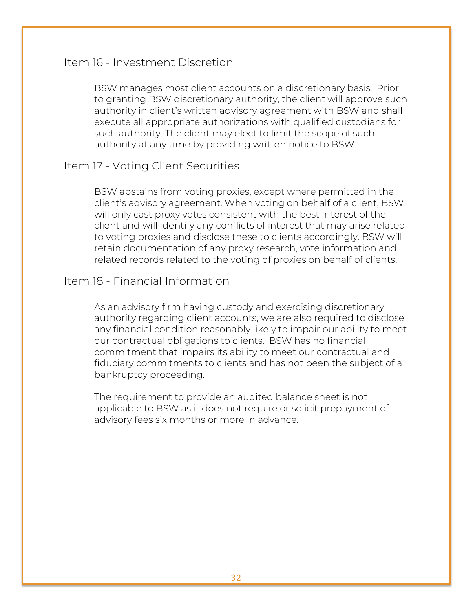# Item 16 - Investment Discretion

BSW manages most client accounts on a discretionary basis. Prior to granting BSW discretionary authority, the client will approve such authority in client's written advisory agreement with BSW and shall execute all appropriate authorizations with qualified custodians for such authority. The client may elect to limit the scope of such authority at any time by providing written notice to BSW.

# Item 17 - Voting Client Securities

BSW abstains from voting proxies, except where permitted in the client's advisory agreement. When voting on behalf of a client, BSW will only cast proxy votes consistent with the best interest of the client and will identify any conflicts of interest that may arise related to voting proxies and disclose these to clients accordingly. BSW will retain documentation of any proxy research, vote information and related records related to the voting of proxies on behalf of clients.

# Item 18 - Financial Information

As an advisory firm having custody and exercising discretionary authority regarding client accounts, we are also required to disclose any financial condition reasonably likely to impair our ability to meet our contractual obligations to clients. BSW has no financial commitment that impairs its ability to meet our contractual and fiduciary commitments to clients and has not been the subject of a bankruptcy proceeding.

The requirement to provide an audited balance sheet is not applicable to BSW as it does not require or solicit prepayment of advisory fees six months or more in advance.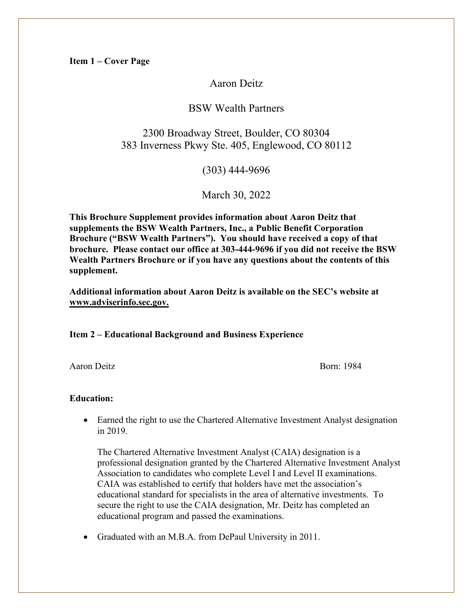**Item 1 – Cover Page**

## Aaron Deitz

#### BSW Wealth Partners

# 2300 Broadway Street, Boulder, CO 80304 383 Inverness Pkwy Ste. 405, Englewood, CO 80112

(303) 444-9696

March 30, 2022

**This Brochure Supplement provides information about Aaron Deitz that supplements the BSW Wealth Partners, Inc., a Public Benefit Corporation Brochure ("BSW Wealth Partners"). You should have received a copy of that brochure. Please contact our office at 303-444-9696 if you did not receive the BSW Wealth Partners Brochure or if you have any questions about the contents of this supplement.**

**Additional information about Aaron Deitz is available on the SEC's website at www.adviserinfo.sec.gov.**

#### **Item 2 – Educational Background and Business Experience**

Aaron Deitz Born: 1984

#### **Education:**

• Earned the right to use the Chartered Alternative Investment Analyst designation in 2019.

The Chartered Alternative Investment Analyst (CAIA) designation is a professional designation granted by the Chartered Alternative Investment Analyst Association to candidates who complete Level I and Level II examinations. CAIA was established to certify that holders have met the association's educational standard for specialists in the area of alternative investments. To secure the right to use the CAIA designation, Mr. Deitz has completed an educational program and passed the examinations.

• Graduated with an M.B.A. from DePaul University in 2011.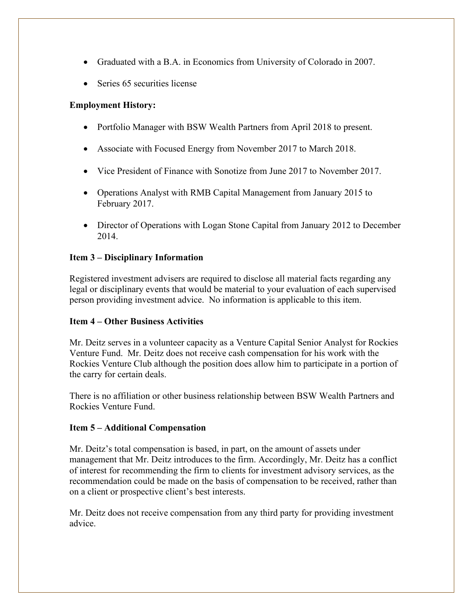- Graduated with a B.A. in Economics from University of Colorado in 2007.
- Series 65 securities license

#### **Employment History:**

- Portfolio Manager with BSW Wealth Partners from April 2018 to present.
- Associate with Focused Energy from November 2017 to March 2018.
- Vice President of Finance with Sonotize from June 2017 to November 2017.
- Operations Analyst with RMB Capital Management from January 2015 to February 2017.
- Director of Operations with Logan Stone Capital from January 2012 to December 2014.

#### **Item 3 – Disciplinary Information**

Registered investment advisers are required to disclose all material facts regarding any legal or disciplinary events that would be material to your evaluation of each supervised person providing investment advice. No information is applicable to this item.

#### **Item 4 – Other Business Activities**

Mr. Deitz serves in a volunteer capacity as a Venture Capital Senior Analyst for Rockies Venture Fund. Mr. Deitz does not receive cash compensation for his work with the Rockies Venture Club although the position does allow him to participate in a portion of the carry for certain deals.

There is no affiliation or other business relationship between BSW Wealth Partners and Rockies Venture Fund.

#### **Item 5 – Additional Compensation**

Mr. Deitz's total compensation is based, in part, on the amount of assets under management that Mr. Deitz introduces to the firm. Accordingly, Mr. Deitz has a conflict of interest for recommending the firm to clients for investment advisory services, as the recommendation could be made on the basis of compensation to be received, rather than on a client or prospective client's best interests.

Mr. Deitz does not receive compensation from any third party for providing investment advice.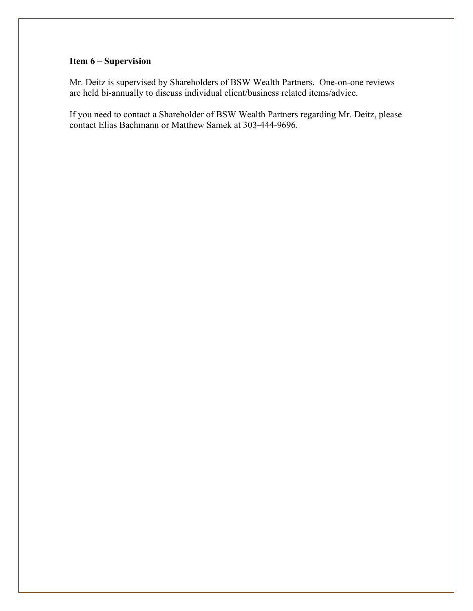## **Item 6 – Supervision**

Mr. Deitz is supervised by Shareholders of BSW Wealth Partners. One-on-one reviews are held bi-annually to discuss individual client/business related items/advice.

If you need to contact a Shareholder of BSW Wealth Partners regarding Mr. Deitz, please contact Elias Bachmann or Matthew Samek at 303-444-9696.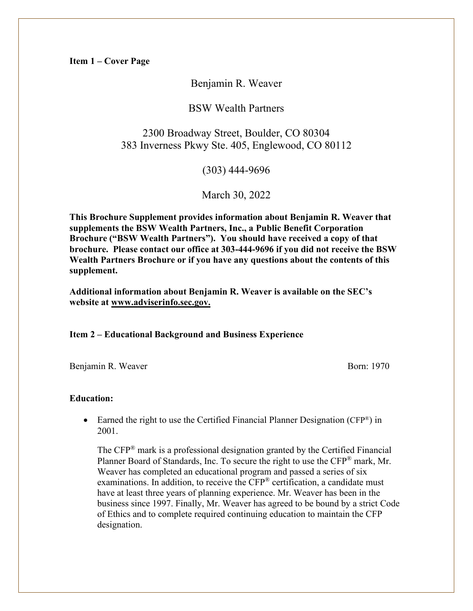**Item 1 – Cover Page**

#### Benjamin R. Weaver

#### BSW Wealth Partners

# 2300 Broadway Street, Boulder, CO 80304 383 Inverness Pkwy Ste. 405, Englewood, CO 80112

(303) 444-9696

March 30, 2022

**This Brochure Supplement provides information about Benjamin R. Weaver that supplements the BSW Wealth Partners, Inc., a Public Benefit Corporation Brochure ("BSW Wealth Partners"). You should have received a copy of that brochure. Please contact our office at 303-444-9696 if you did not receive the BSW Wealth Partners Brochure or if you have any questions about the contents of this supplement.**

**Additional information about Benjamin R. Weaver is available on the SEC's website at www.adviserinfo.sec.gov.**

#### **Item 2 – Educational Background and Business Experience**

Benjamin R. Weaver Born: 1970

#### **Education:**

• Earned the right to use the Certified Financial Planner Designation (CFP<sup>®</sup>) in 2001.

The CFP® mark is a professional designation granted by the Certified Financial Planner Board of Standards, Inc. To secure the right to use the CFP® mark, Mr. Weaver has completed an educational program and passed a series of six examinations. In addition, to receive the CFP<sup>®</sup> certification, a candidate must have at least three years of planning experience. Mr. Weaver has been in the business since 1997. Finally, Mr. Weaver has agreed to be bound by a strict Code of Ethics and to complete required continuing education to maintain the CFP designation.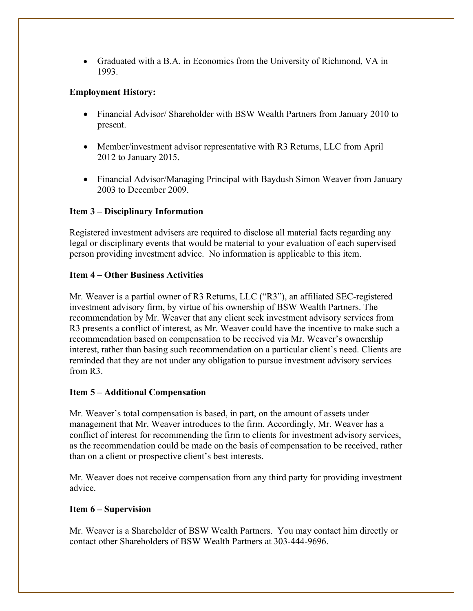• Graduated with a B.A. in Economics from the University of Richmond, VA in 1993.

## **Employment History:**

- Financial Advisor/ Shareholder with BSW Wealth Partners from January 2010 to present.
- Member/investment advisor representative with R3 Returns, LLC from April 2012 to January 2015.
- Financial Advisor/Managing Principal with Baydush Simon Weaver from January 2003 to December 2009.

## **Item 3 – Disciplinary Information**

Registered investment advisers are required to disclose all material facts regarding any legal or disciplinary events that would be material to your evaluation of each supervised person providing investment advice. No information is applicable to this item.

## **Item 4 – Other Business Activities**

Mr. Weaver is a partial owner of R3 Returns, LLC ("R3"), an affiliated SEC-registered investment advisory firm, by virtue of his ownership of BSW Wealth Partners. The recommendation by Mr. Weaver that any client seek investment advisory services from R3 presents a conflict of interest, as Mr. Weaver could have the incentive to make such a recommendation based on compensation to be received via Mr. Weaver's ownership interest, rather than basing such recommendation on a particular client's need. Clients are reminded that they are not under any obligation to pursue investment advisory services from R3.

## **Item 5 – Additional Compensation**

Mr. Weaver's total compensation is based, in part, on the amount of assets under management that Mr. Weaver introduces to the firm. Accordingly, Mr. Weaver has a conflict of interest for recommending the firm to clients for investment advisory services, as the recommendation could be made on the basis of compensation to be received, rather than on a client or prospective client's best interests.

Mr. Weaver does not receive compensation from any third party for providing investment advice.

## **Item 6 – Supervision**

Mr. Weaver is a Shareholder of BSW Wealth Partners. You may contact him directly or contact other Shareholders of BSW Wealth Partners at 303-444-9696.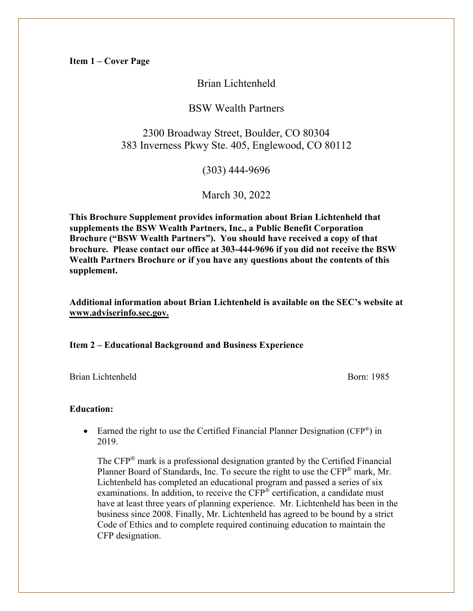Brian Lichtenheld

## BSW Wealth Partners

# 2300 Broadway Street, Boulder, CO 80304 383 Inverness Pkwy Ste. 405, Englewood, CO 80112

(303) 444-9696

March 30, 2022

**This Brochure Supplement provides information about Brian Lichtenheld that supplements the BSW Wealth Partners, Inc., a Public Benefit Corporation Brochure ("BSW Wealth Partners"). You should have received a copy of that brochure. Please contact our office at 303-444-9696 if you did not receive the BSW Wealth Partners Brochure or if you have any questions about the contents of this supplement.**

**Additional information about Brian Lichtenheld is available on the SEC's website at www.adviserinfo.sec.gov.**

**Item 2 – Educational Background and Business Experience**

Brian Lichtenheld Born: 1985

#### **Education:**

• Earned the right to use the Certified Financial Planner Designation (CFP<sup>®</sup>) in 2019.

The CFP® mark is a professional designation granted by the Certified Financial Planner Board of Standards, Inc. To secure the right to use the CFP® mark, Mr. Lichtenheld has completed an educational program and passed a series of six examinations. In addition, to receive the CFP® certification, a candidate must have at least three years of planning experience. Mr. Lichtenheld has been in the business since 2008. Finally, Mr. Lichtenheld has agreed to be bound by a strict Code of Ethics and to complete required continuing education to maintain the CFP designation.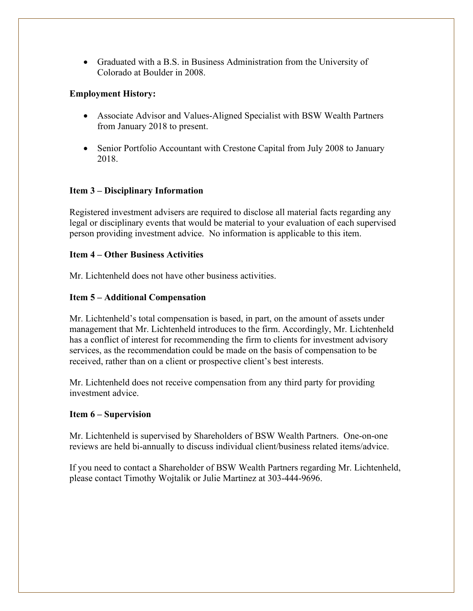• Graduated with a B.S. in Business Administration from the University of Colorado at Boulder in 2008.

### **Employment History:**

- Associate Advisor and Values-Aligned Specialist with BSW Wealth Partners from January 2018 to present.
- Senior Portfolio Accountant with Crestone Capital from July 2008 to January 2018.

## **Item 3 – Disciplinary Information**

Registered investment advisers are required to disclose all material facts regarding any legal or disciplinary events that would be material to your evaluation of each supervised person providing investment advice. No information is applicable to this item.

### **Item 4 – Other Business Activities**

Mr. Lichtenheld does not have other business activities.

## **Item 5 – Additional Compensation**

Mr. Lichtenheld's total compensation is based, in part, on the amount of assets under management that Mr. Lichtenheld introduces to the firm. Accordingly, Mr. Lichtenheld has a conflict of interest for recommending the firm to clients for investment advisory services, as the recommendation could be made on the basis of compensation to be received, rather than on a client or prospective client's best interests.

Mr. Lichtenheld does not receive compensation from any third party for providing investment advice.

### **Item 6 – Supervision**

Mr. Lichtenheld is supervised by Shareholders of BSW Wealth Partners. One-on-one reviews are held bi-annually to discuss individual client/business related items/advice.

If you need to contact a Shareholder of BSW Wealth Partners regarding Mr. Lichtenheld, please contact Timothy Wojtalik or Julie Martinez at 303-444-9696.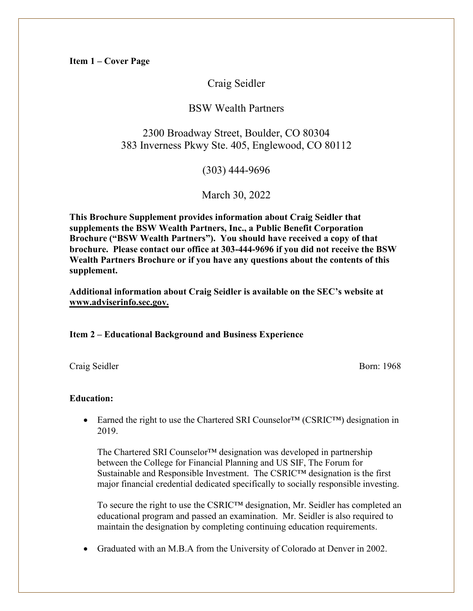Craig Seidler

## BSW Wealth Partners

# 2300 Broadway Street, Boulder, CO 80304 383 Inverness Pkwy Ste. 405, Englewood, CO 80112

(303) 444-9696

March 30, 2022

**This Brochure Supplement provides information about Craig Seidler that supplements the BSW Wealth Partners, Inc., a Public Benefit Corporation Brochure ("BSW Wealth Partners"). You should have received a copy of that brochure. Please contact our office at 303-444-9696 if you did not receive the BSW Wealth Partners Brochure or if you have any questions about the contents of this supplement.**

**Additional information about Craig Seidler is available on the SEC's website at www.adviserinfo.sec.gov.**

### **Item 2 – Educational Background and Business Experience**

Craig Seidler Born: 1968

### **Education:**

• Earned the right to use the Chartered SRI Counselor™ (CSRIC™) designation in 2019.

The Chartered SRI Counselor™ designation was developed in partnership between the College for Financial Planning and US SIF, The Forum for Sustainable and Responsible Investment. The CSRIC™ designation is the first major financial credential dedicated specifically to socially responsible investing.

To secure the right to use the CSRIC™ designation, Mr. Seidler has completed an educational program and passed an examination. Mr. Seidler is also required to maintain the designation by completing continuing education requirements.

• Graduated with an M.B.A from the University of Colorado at Denver in 2002.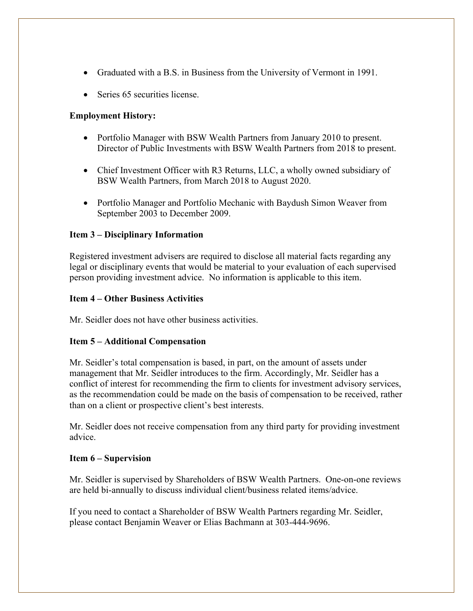- Graduated with a B.S. in Business from the University of Vermont in 1991.
- Series 65 securities license.

### **Employment History:**

- Portfolio Manager with BSW Wealth Partners from January 2010 to present. Director of Public Investments with BSW Wealth Partners from 2018 to present.
- Chief Investment Officer with R3 Returns, LLC, a wholly owned subsidiary of BSW Wealth Partners, from March 2018 to August 2020.
- Portfolio Manager and Portfolio Mechanic with Baydush Simon Weaver from September 2003 to December 2009.

#### **Item 3 – Disciplinary Information**

Registered investment advisers are required to disclose all material facts regarding any legal or disciplinary events that would be material to your evaluation of each supervised person providing investment advice. No information is applicable to this item.

### **Item 4 – Other Business Activities**

Mr. Seidler does not have other business activities.

### **Item 5 – Additional Compensation**

Mr. Seidler's total compensation is based, in part, on the amount of assets under management that Mr. Seidler introduces to the firm. Accordingly, Mr. Seidler has a conflict of interest for recommending the firm to clients for investment advisory services, as the recommendation could be made on the basis of compensation to be received, rather than on a client or prospective client's best interests.

Mr. Seidler does not receive compensation from any third party for providing investment advice.

#### **Item 6 – Supervision**

Mr. Seidler is supervised by Shareholders of BSW Wealth Partners. One-on-one reviews are held bi-annually to discuss individual client/business related items/advice.

If you need to contact a Shareholder of BSW Wealth Partners regarding Mr. Seidler, please contact Benjamin Weaver or Elias Bachmann at 303-444-9696.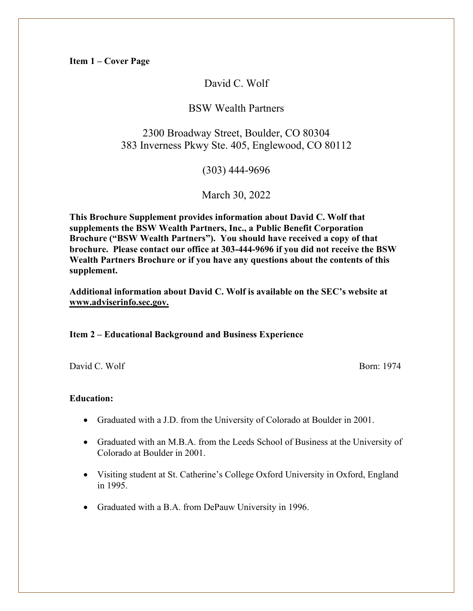# David C. Wolf

## BSW Wealth Partners

# 2300 Broadway Street, Boulder, CO 80304 383 Inverness Pkwy Ste. 405, Englewood, CO 80112

(303) 444-9696

March 30, 2022

**This Brochure Supplement provides information about David C. Wolf that supplements the BSW Wealth Partners, Inc., a Public Benefit Corporation Brochure ("BSW Wealth Partners"). You should have received a copy of that brochure. Please contact our office at 303-444-9696 if you did not receive the BSW Wealth Partners Brochure or if you have any questions about the contents of this supplement.**

**Additional information about David C. Wolf is available on the SEC's website at www.adviserinfo.sec.gov.**

### **Item 2 – Educational Background and Business Experience**

David C. Wolf Born: 1974

#### **Education:**

- Graduated with a J.D. from the University of Colorado at Boulder in 2001.
- Graduated with an M.B.A. from the Leeds School of Business at the University of Colorado at Boulder in 2001.
- Visiting student at St. Catherine's College Oxford University in Oxford, England in 1995.
- Graduated with a B.A. from DePauw University in 1996.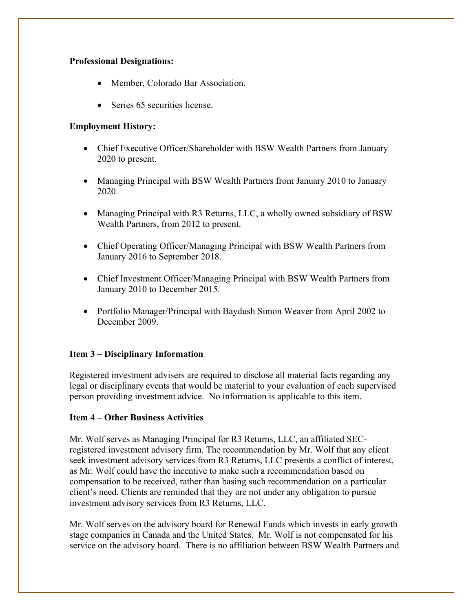### **Professional Designations:**

- Member, Colorado Bar Association.
- Series 65 securities license.

## **Employment History:**

- Chief Executive Officer/Shareholder with BSW Wealth Partners from January 2020 to present.
- Managing Principal with BSW Wealth Partners from January 2010 to January 2020.
- Managing Principal with R3 Returns, LLC, a wholly owned subsidiary of BSW Wealth Partners, from 2012 to present.
- Chief Operating Officer/Managing Principal with BSW Wealth Partners from January 2016 to September 2018.
- Chief Investment Officer/Managing Principal with BSW Wealth Partners from January 2010 to December 2015.
- Portfolio Manager/Principal with Baydush Simon Weaver from April 2002 to December 2009.

## **Item 3 – Disciplinary Information**

Registered investment advisers are required to disclose all material facts regarding any legal or disciplinary events that would be material to your evaluation of each supervised person providing investment advice. No information is applicable to this item.

### **Item 4 – Other Business Activities**

Mr. Wolf serves as Managing Principal for R3 Returns, LLC, an affiliated SECregistered investment advisory firm. The recommendation by Mr. Wolf that any client seek investment advisory services from R3 Returns, LLC presents a conflict of interest, as Mr. Wolf could have the incentive to make such a recommendation based on compensation to be received, rather than basing such recommendation on a particular client's need. Clients are reminded that they are not under any obligation to pursue investment advisory services from R3 Returns, LLC.

Mr. Wolf serves on the advisory board for Renewal Funds which invests in early growth stage companies in Canada and the United States. Mr. Wolf is not compensated for his service on the advisory board. There is no affiliation between BSW Wealth Partners and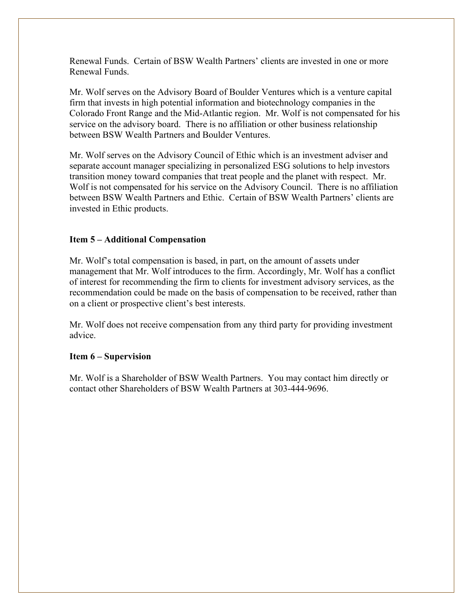Renewal Funds. Certain of BSW Wealth Partners' clients are invested in one or more Renewal Funds.

Mr. Wolf serves on the Advisory Board of Boulder Ventures which is a venture capital firm that invests in high potential information and biotechnology companies in the Colorado Front Range and the Mid-Atlantic region. Mr. Wolf is not compensated for his service on the advisory board. There is no affiliation or other business relationship between BSW Wealth Partners and Boulder Ventures.

Mr. Wolf serves on the Advisory Council of Ethic which is an investment adviser and separate account manager specializing in personalized ESG solutions to help investors transition money toward companies that treat people and the planet with respect. Mr. Wolf is not compensated for his service on the Advisory Council. There is no affiliation between BSW Wealth Partners and Ethic. Certain of BSW Wealth Partners' clients are invested in Ethic products.

### **Item 5 – Additional Compensation**

Mr. Wolf's total compensation is based, in part, on the amount of assets under management that Mr. Wolf introduces to the firm. Accordingly, Mr. Wolf has a conflict of interest for recommending the firm to clients for investment advisory services, as the recommendation could be made on the basis of compensation to be received, rather than on a client or prospective client's best interests.

Mr. Wolf does not receive compensation from any third party for providing investment advice.

#### **Item 6 – Supervision**

Mr. Wolf is a Shareholder of BSW Wealth Partners. You may contact him directly or contact other Shareholders of BSW Wealth Partners at 303-444-9696.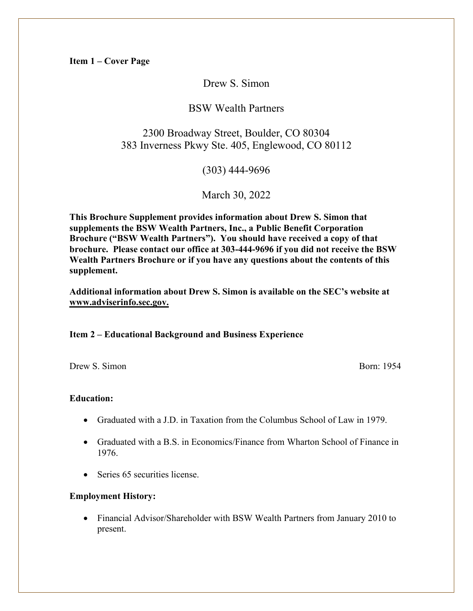Drew S. Simon

## BSW Wealth Partners

# 2300 Broadway Street, Boulder, CO 80304 383 Inverness Pkwy Ste. 405, Englewood, CO 80112

(303) 444-9696

March 30, 2022

**This Brochure Supplement provides information about Drew S. Simon that supplements the BSW Wealth Partners, Inc., a Public Benefit Corporation Brochure ("BSW Wealth Partners"). You should have received a copy of that brochure. Please contact our office at 303-444-9696 if you did not receive the BSW Wealth Partners Brochure or if you have any questions about the contents of this supplement.**

**Additional information about Drew S. Simon is available on the SEC's website at www.adviserinfo.sec.gov.**

### **Item 2 – Educational Background and Business Experience**

Drew S. Simon Born: 1954

#### **Education:**

- Graduated with a J.D. in Taxation from the Columbus School of Law in 1979.
- Graduated with a B.S. in Economics/Finance from Wharton School of Finance in 1976.
- Series 65 securities license.

### **Employment History:**

• Financial Advisor/Shareholder with BSW Wealth Partners from January 2010 to present.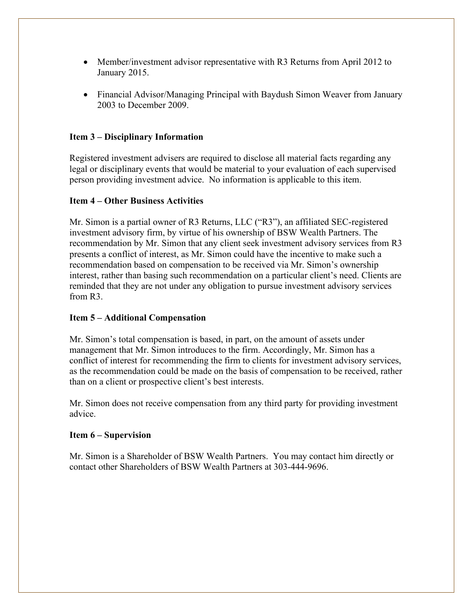- Member/investment advisor representative with R3 Returns from April 2012 to January 2015.
- Financial Advisor/Managing Principal with Baydush Simon Weaver from January 2003 to December 2009.

### **Item 3 – Disciplinary Information**

Registered investment advisers are required to disclose all material facts regarding any legal or disciplinary events that would be material to your evaluation of each supervised person providing investment advice. No information is applicable to this item.

#### **Item 4 – Other Business Activities**

Mr. Simon is a partial owner of R3 Returns, LLC ("R3"), an affiliated SEC-registered investment advisory firm, by virtue of his ownership of BSW Wealth Partners. The recommendation by Mr. Simon that any client seek investment advisory services from R3 presents a conflict of interest, as Mr. Simon could have the incentive to make such a recommendation based on compensation to be received via Mr. Simon's ownership interest, rather than basing such recommendation on a particular client's need. Clients are reminded that they are not under any obligation to pursue investment advisory services from R3.

### **Item 5 – Additional Compensation**

Mr. Simon's total compensation is based, in part, on the amount of assets under management that Mr. Simon introduces to the firm. Accordingly, Mr. Simon has a conflict of interest for recommending the firm to clients for investment advisory services, as the recommendation could be made on the basis of compensation to be received, rather than on a client or prospective client's best interests.

Mr. Simon does not receive compensation from any third party for providing investment advice.

#### **Item 6 – Supervision**

Mr. Simon is a Shareholder of BSW Wealth Partners. You may contact him directly or contact other Shareholders of BSW Wealth Partners at 303-444-9696.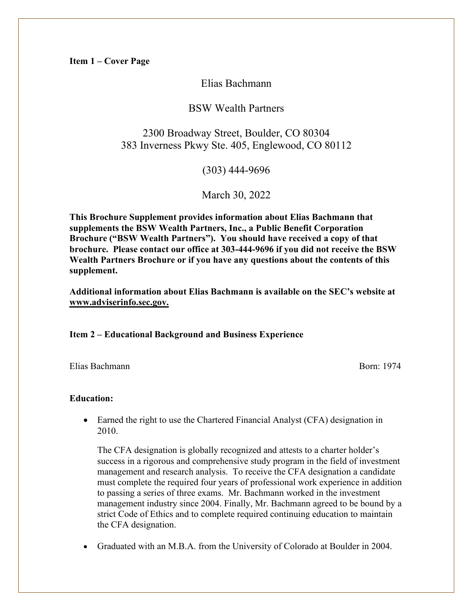Elias Bachmann

## BSW Wealth Partners

# 2300 Broadway Street, Boulder, CO 80304 383 Inverness Pkwy Ste. 405, Englewood, CO 80112

(303) 444-9696

March 30, 2022

**This Brochure Supplement provides information about Elias Bachmann that supplements the BSW Wealth Partners, Inc., a Public Benefit Corporation Brochure ("BSW Wealth Partners"). You should have received a copy of that brochure. Please contact our office at 303-444-9696 if you did not receive the BSW Wealth Partners Brochure or if you have any questions about the contents of this supplement.**

**Additional information about Elias Bachmann is available on the SEC's website at www.adviserinfo.sec.gov.**

#### **Item 2 – Educational Background and Business Experience**

Elias Bachmann Born: 1974

#### **Education:**

• Earned the right to use the Chartered Financial Analyst (CFA) designation in 2010.

The CFA designation is globally recognized and attests to a charter holder's success in a rigorous and comprehensive study program in the field of investment management and research analysis. To receive the CFA designation a candidate must complete the required four years of professional work experience in addition to passing a series of three exams. Mr. Bachmann worked in the investment management industry since 2004. Finally, Mr. Bachmann agreed to be bound by a strict Code of Ethics and to complete required continuing education to maintain the CFA designation.

• Graduated with an M.B.A. from the University of Colorado at Boulder in 2004.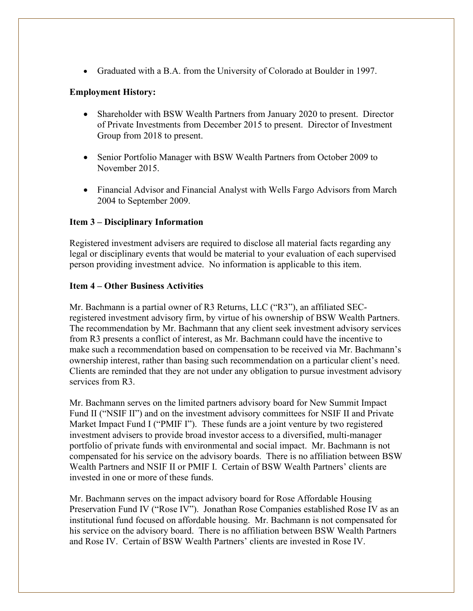• Graduated with a B.A. from the University of Colorado at Boulder in 1997.

### **Employment History:**

- Shareholder with BSW Wealth Partners from January 2020 to present. Director of Private Investments from December 2015 to present. Director of Investment Group from 2018 to present.
- Senior Portfolio Manager with BSW Wealth Partners from October 2009 to November 2015.
- Financial Advisor and Financial Analyst with Wells Fargo Advisors from March 2004 to September 2009.

### **Item 3 – Disciplinary Information**

Registered investment advisers are required to disclose all material facts regarding any legal or disciplinary events that would be material to your evaluation of each supervised person providing investment advice. No information is applicable to this item.

### **Item 4 – Other Business Activities**

Mr. Bachmann is a partial owner of R3 Returns, LLC ("R3"), an affiliated SECregistered investment advisory firm, by virtue of his ownership of BSW Wealth Partners. The recommendation by Mr. Bachmann that any client seek investment advisory services from R3 presents a conflict of interest, as Mr. Bachmann could have the incentive to make such a recommendation based on compensation to be received via Mr. Bachmann's ownership interest, rather than basing such recommendation on a particular client's need. Clients are reminded that they are not under any obligation to pursue investment advisory services from R3.

Mr. Bachmann serves on the limited partners advisory board for New Summit Impact Fund II ("NSIF II") and on the investment advisory committees for NSIF II and Private Market Impact Fund I ("PMIF I"). These funds are a joint venture by two registered investment advisers to provide broad investor access to a diversified, multi-manager portfolio of private funds with environmental and social impact. Mr. Bachmann is not compensated for his service on the advisory boards. There is no affiliation between BSW Wealth Partners and NSIF II or PMIF I. Certain of BSW Wealth Partners' clients are invested in one or more of these funds.

Mr. Bachmann serves on the impact advisory board for Rose Affordable Housing Preservation Fund IV ("Rose IV"). Jonathan Rose Companies established Rose IV as an institutional fund focused on affordable housing. Mr. Bachmann is not compensated for his service on the advisory board. There is no affiliation between BSW Wealth Partners and Rose IV. Certain of BSW Wealth Partners' clients are invested in Rose IV.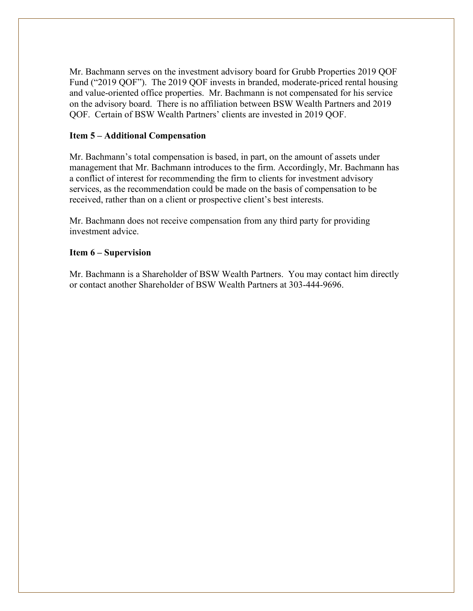Mr. Bachmann serves on the investment advisory board for Grubb Properties 2019 QOF Fund ("2019 QOF"). The 2019 QOF invests in branded, moderate-priced rental housing and value-oriented office properties. Mr. Bachmann is not compensated for his service on the advisory board. There is no affiliation between BSW Wealth Partners and 2019 QOF. Certain of BSW Wealth Partners' clients are invested in 2019 QOF.

### **Item 5 – Additional Compensation**

Mr. Bachmann's total compensation is based, in part, on the amount of assets under management that Mr. Bachmann introduces to the firm. Accordingly, Mr. Bachmann has a conflict of interest for recommending the firm to clients for investment advisory services, as the recommendation could be made on the basis of compensation to be received, rather than on a client or prospective client's best interests.

Mr. Bachmann does not receive compensation from any third party for providing investment advice.

#### **Item 6 – Supervision**

Mr. Bachmann is a Shareholder of BSW Wealth Partners. You may contact him directly or contact another Shareholder of BSW Wealth Partners at 303-444-9696.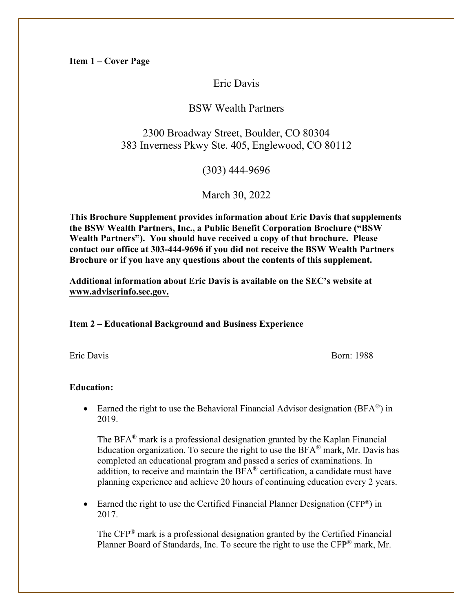## Eric Davis

## BSW Wealth Partners

# 2300 Broadway Street, Boulder, CO 80304 383 Inverness Pkwy Ste. 405, Englewood, CO 80112

(303) 444-9696

March 30, 2022

**This Brochure Supplement provides information about Eric Davis that supplements the BSW Wealth Partners, Inc., a Public Benefit Corporation Brochure ("BSW Wealth Partners"). You should have received a copy of that brochure. Please contact our office at 303-444-9696 if you did not receive the BSW Wealth Partners Brochure or if you have any questions about the contents of this supplement.**

**Additional information about Eric Davis is available on the SEC's website at www.adviserinfo.sec.gov.**

### **Item 2 – Educational Background and Business Experience**

Eric Davis Born: 1988

### **Education:**

• Earned the right to use the Behavioral Financial Advisor designation (BFA<sup>®</sup>) in 2019.

The BFA $^{\circ}$  mark is a professional designation granted by the Kaplan Financial Education organization. To secure the right to use the  $BFA^{\circledR}$  mark, Mr. Davis has completed an educational program and passed a series of examinations. In addition, to receive and maintain the BFA® certification, a candidate must have planning experience and achieve 20 hours of continuing education every 2 years.

• Earned the right to use the Certified Financial Planner Designation (CFP<sup>®</sup>) in 2017.

The CFP® mark is a professional designation granted by the Certified Financial Planner Board of Standards, Inc. To secure the right to use the CFP® mark, Mr.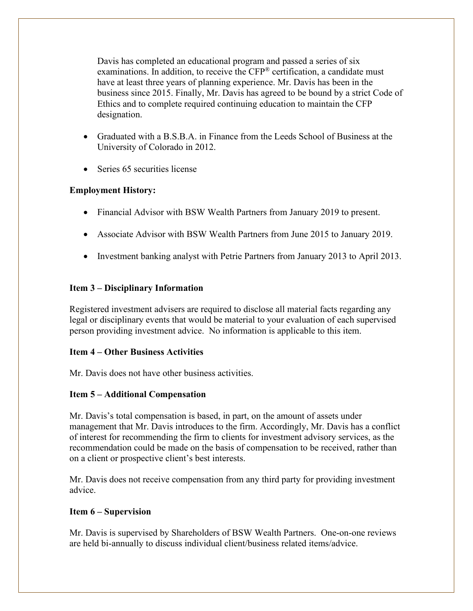Davis has completed an educational program and passed a series of six examinations. In addition, to receive the CFP® certification, a candidate must have at least three years of planning experience. Mr. Davis has been in the business since 2015. Finally, Mr. Davis has agreed to be bound by a strict Code of Ethics and to complete required continuing education to maintain the CFP designation.

- Graduated with a B.S.B.A. in Finance from the Leeds School of Business at the University of Colorado in 2012.
- Series 65 securities license

## **Employment History:**

- Financial Advisor with BSW Wealth Partners from January 2019 to present.
- Associate Advisor with BSW Wealth Partners from June 2015 to January 2019.
- Investment banking analyst with Petrie Partners from January 2013 to April 2013.

## **Item 3 – Disciplinary Information**

Registered investment advisers are required to disclose all material facts regarding any legal or disciplinary events that would be material to your evaluation of each supervised person providing investment advice. No information is applicable to this item.

## **Item 4 – Other Business Activities**

Mr. Davis does not have other business activities.

## **Item 5 – Additional Compensation**

Mr. Davis's total compensation is based, in part, on the amount of assets under management that Mr. Davis introduces to the firm. Accordingly, Mr. Davis has a conflict of interest for recommending the firm to clients for investment advisory services, as the recommendation could be made on the basis of compensation to be received, rather than on a client or prospective client's best interests.

Mr. Davis does not receive compensation from any third party for providing investment advice.

## **Item 6 – Supervision**

Mr. Davis is supervised by Shareholders of BSW Wealth Partners. One-on-one reviews are held bi-annually to discuss individual client/business related items/advice.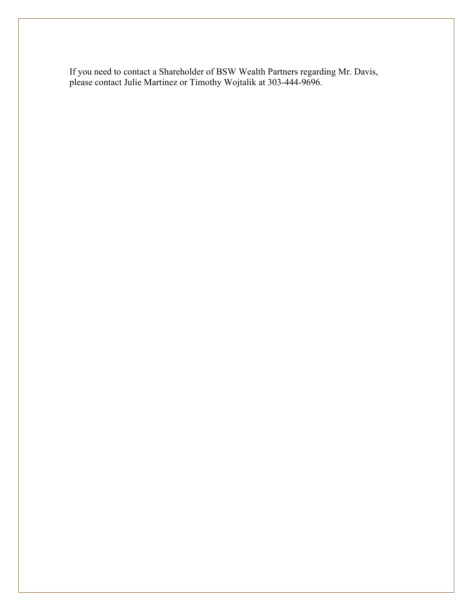If you need to contact a Shareholder of BSW Wealth Partners regarding Mr. Davis, please contact Julie Martinez or Timothy Wojtalik at 303-444-9696.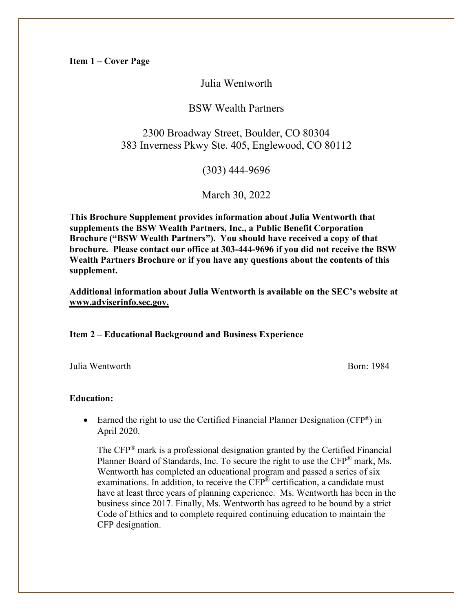Julia Wentworth

## BSW Wealth Partners

# 2300 Broadway Street, Boulder, CO 80304 383 Inverness Pkwy Ste. 405, Englewood, CO 80112

(303) 444-9696

March 30, 2022

**This Brochure Supplement provides information about Julia Wentworth that supplements the BSW Wealth Partners, Inc., a Public Benefit Corporation Brochure ("BSW Wealth Partners"). You should have received a copy of that brochure. Please contact our office at 303-444-9696 if you did not receive the BSW Wealth Partners Brochure or if you have any questions about the contents of this supplement.**

**Additional information about Julia Wentworth is available on the SEC's website at www.adviserinfo.sec.gov.**

### **Item 2 – Educational Background and Business Experience**

Julia Wentworth Born: 1984

#### **Education:**

• Earned the right to use the Certified Financial Planner Designation (CFP<sup>®</sup>) in April 2020.

The CFP® mark is a professional designation granted by the Certified Financial Planner Board of Standards, Inc. To secure the right to use the CFP® mark, Ms. Wentworth has completed an educational program and passed a series of six examinations. In addition, to receive the CFP<sup>®</sup> certification, a candidate must have at least three years of planning experience. Ms. Wentworth has been in the business since 2017. Finally, Ms. Wentworth has agreed to be bound by a strict Code of Ethics and to complete required continuing education to maintain the CFP designation.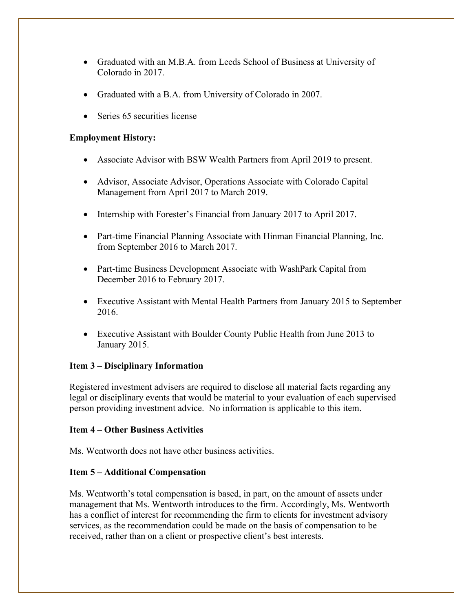- Graduated with an M.B.A. from Leeds School of Business at University of Colorado in 2017.
- Graduated with a B.A. from University of Colorado in 2007.
- Series 65 securities license

### **Employment History:**

- Associate Advisor with BSW Wealth Partners from April 2019 to present.
- Advisor, Associate Advisor, Operations Associate with Colorado Capital Management from April 2017 to March 2019.
- Internship with Forester's Financial from January 2017 to April 2017.
- Part-time Financial Planning Associate with Hinman Financial Planning, Inc. from September 2016 to March 2017.
- Part-time Business Development Associate with WashPark Capital from December 2016 to February 2017.
- Executive Assistant with Mental Health Partners from January 2015 to September 2016.
- Executive Assistant with Boulder County Public Health from June 2013 to January 2015.

### **Item 3 – Disciplinary Information**

Registered investment advisers are required to disclose all material facts regarding any legal or disciplinary events that would be material to your evaluation of each supervised person providing investment advice. No information is applicable to this item.

### **Item 4 – Other Business Activities**

Ms. Wentworth does not have other business activities.

### **Item 5 – Additional Compensation**

Ms. Wentworth's total compensation is based, in part, on the amount of assets under management that Ms. Wentworth introduces to the firm. Accordingly, Ms. Wentworth has a conflict of interest for recommending the firm to clients for investment advisory services, as the recommendation could be made on the basis of compensation to be received, rather than on a client or prospective client's best interests.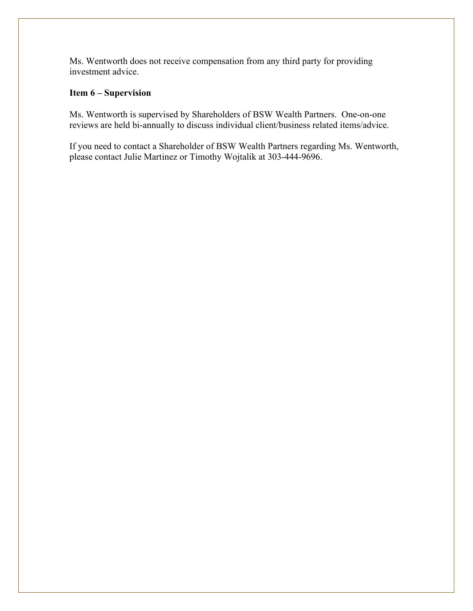Ms. Wentworth does not receive compensation from any third party for providing investment advice.

### **Item 6 – Supervision**

Ms. Wentworth is supervised by Shareholders of BSW Wealth Partners. One-on-one reviews are held bi-annually to discuss individual client/business related items/advice.

If you need to contact a Shareholder of BSW Wealth Partners regarding Ms. Wentworth, please contact Julie Martinez or Timothy Wojtalik at 303-444-9696.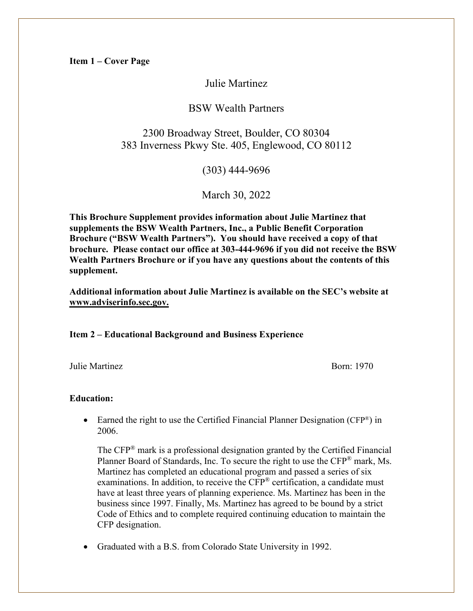Julie Martinez

## BSW Wealth Partners

# 2300 Broadway Street, Boulder, CO 80304 383 Inverness Pkwy Ste. 405, Englewood, CO 80112

(303) 444-9696

March 30, 2022

**This Brochure Supplement provides information about Julie Martinez that supplements the BSW Wealth Partners, Inc., a Public Benefit Corporation Brochure ("BSW Wealth Partners"). You should have received a copy of that brochure. Please contact our office at 303-444-9696 if you did not receive the BSW Wealth Partners Brochure or if you have any questions about the contents of this supplement.**

**Additional information about Julie Martinez is available on the SEC's website at www.adviserinfo.sec.gov.**

**Item 2 – Educational Background and Business Experience**

Julie Martinez Born: 1970

#### **Education:**

• Earned the right to use the Certified Financial Planner Designation (CFP<sup>®</sup>) in 2006.

The CFP® mark is a professional designation granted by the Certified Financial Planner Board of Standards, Inc. To secure the right to use the CFP® mark, Ms. Martinez has completed an educational program and passed a series of six examinations. In addition, to receive the CFP® certification, a candidate must have at least three years of planning experience. Ms. Martinez has been in the business since 1997. Finally, Ms. Martinez has agreed to be bound by a strict Code of Ethics and to complete required continuing education to maintain the CFP designation.

• Graduated with a B.S. from Colorado State University in 1992.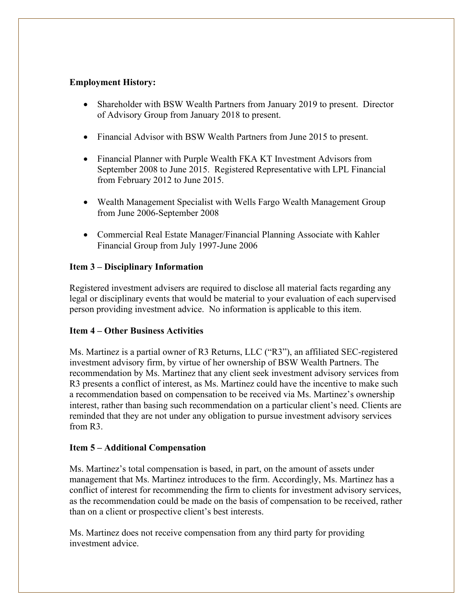### **Employment History:**

- Shareholder with BSW Wealth Partners from January 2019 to present. Director of Advisory Group from January 2018 to present.
- Financial Advisor with BSW Wealth Partners from June 2015 to present.
- Financial Planner with Purple Wealth FKA KT Investment Advisors from September 2008 to June 2015. Registered Representative with LPL Financial from February 2012 to June 2015.
- Wealth Management Specialist with Wells Fargo Wealth Management Group from June 2006-September 2008
- Commercial Real Estate Manager/Financial Planning Associate with Kahler Financial Group from July 1997-June 2006

### **Item 3 – Disciplinary Information**

Registered investment advisers are required to disclose all material facts regarding any legal or disciplinary events that would be material to your evaluation of each supervised person providing investment advice. No information is applicable to this item.

### **Item 4 – Other Business Activities**

Ms. Martinez is a partial owner of R3 Returns, LLC ("R3"), an affiliated SEC-registered investment advisory firm, by virtue of her ownership of BSW Wealth Partners. The recommendation by Ms. Martinez that any client seek investment advisory services from R3 presents a conflict of interest, as Ms. Martinez could have the incentive to make such a recommendation based on compensation to be received via Ms. Martinez's ownership interest, rather than basing such recommendation on a particular client's need. Clients are reminded that they are not under any obligation to pursue investment advisory services from R3.

### **Item 5 – Additional Compensation**

Ms. Martinez's total compensation is based, in part, on the amount of assets under management that Ms. Martinez introduces to the firm. Accordingly, Ms. Martinez has a conflict of interest for recommending the firm to clients for investment advisory services, as the recommendation could be made on the basis of compensation to be received, rather than on a client or prospective client's best interests.

Ms. Martinez does not receive compensation from any third party for providing investment advice.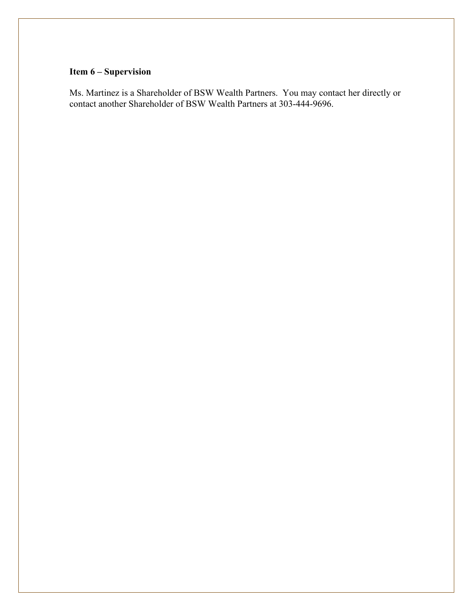## **Item 6 – Supervision**

Ms. Martinez is a Shareholder of BSW Wealth Partners. You may contact her directly or contact another Shareholder of BSW Wealth Partners at 303-444-9696.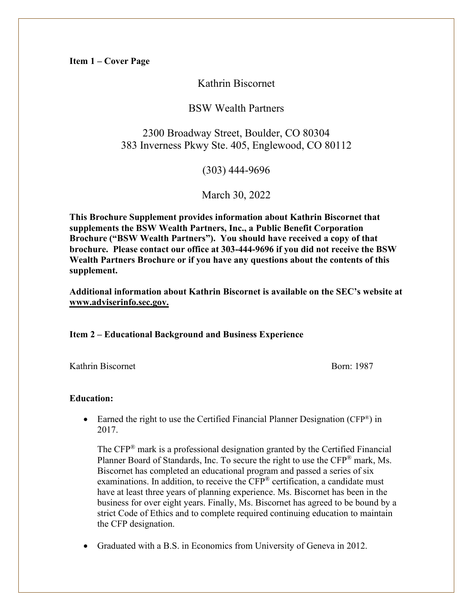Kathrin Biscornet

## BSW Wealth Partners

# 2300 Broadway Street, Boulder, CO 80304 383 Inverness Pkwy Ste. 405, Englewood, CO 80112

(303) 444-9696

March 30, 2022

**This Brochure Supplement provides information about Kathrin Biscornet that supplements the BSW Wealth Partners, Inc., a Public Benefit Corporation Brochure ("BSW Wealth Partners"). You should have received a copy of that brochure. Please contact our office at 303-444-9696 if you did not receive the BSW Wealth Partners Brochure or if you have any questions about the contents of this supplement.**

**Additional information about Kathrin Biscornet is available on the SEC's website at www.adviserinfo.sec.gov.**

**Item 2 – Educational Background and Business Experience**

Kathrin Biscornet **Born: 1987** 

#### **Education:**

• Earned the right to use the Certified Financial Planner Designation (CFP<sup>®</sup>) in 2017.

The CFP® mark is a professional designation granted by the Certified Financial Planner Board of Standards, Inc. To secure the right to use the CFP® mark, Ms. Biscornet has completed an educational program and passed a series of six examinations. In addition, to receive the  $CFP^*$  certification, a candidate must have at least three years of planning experience. Ms. Biscornet has been in the business for over eight years. Finally, Ms. Biscornet has agreed to be bound by a strict Code of Ethics and to complete required continuing education to maintain the CFP designation.

• Graduated with a B.S. in Economics from University of Geneva in 2012.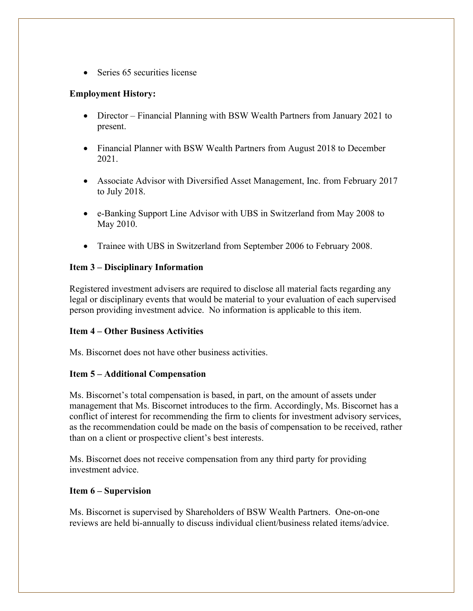• Series 65 securities license

### **Employment History:**

- Director Financial Planning with BSW Wealth Partners from January 2021 to present.
- Financial Planner with BSW Wealth Partners from August 2018 to December 2021.
- Associate Advisor with Diversified Asset Management, Inc. from February 2017 to July 2018.
- e-Banking Support Line Advisor with UBS in Switzerland from May 2008 to May 2010.
- Trainee with UBS in Switzerland from September 2006 to February 2008.

### **Item 3 – Disciplinary Information**

Registered investment advisers are required to disclose all material facts regarding any legal or disciplinary events that would be material to your evaluation of each supervised person providing investment advice. No information is applicable to this item.

### **Item 4 – Other Business Activities**

Ms. Biscornet does not have other business activities.

### **Item 5 – Additional Compensation**

Ms. Biscornet's total compensation is based, in part, on the amount of assets under management that Ms. Biscornet introduces to the firm. Accordingly, Ms. Biscornet has a conflict of interest for recommending the firm to clients for investment advisory services, as the recommendation could be made on the basis of compensation to be received, rather than on a client or prospective client's best interests.

Ms. Biscornet does not receive compensation from any third party for providing investment advice.

### **Item 6 – Supervision**

Ms. Biscornet is supervised by Shareholders of BSW Wealth Partners. One-on-one reviews are held bi-annually to discuss individual client/business related items/advice.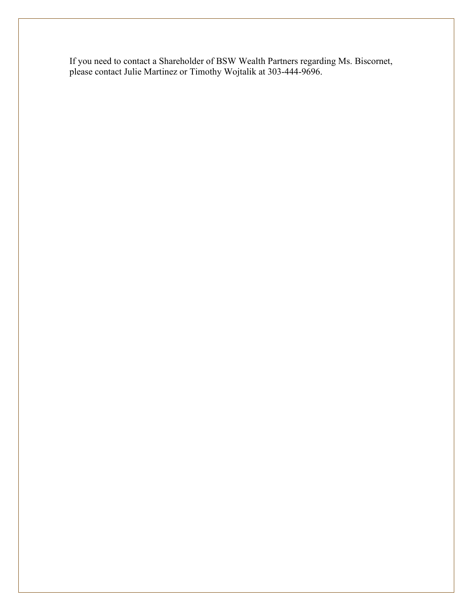If you need to contact a Shareholder of BSW Wealth Partners regarding Ms. Biscornet, please contact Julie Martinez or Timothy Wojtalik at 303-444-9696.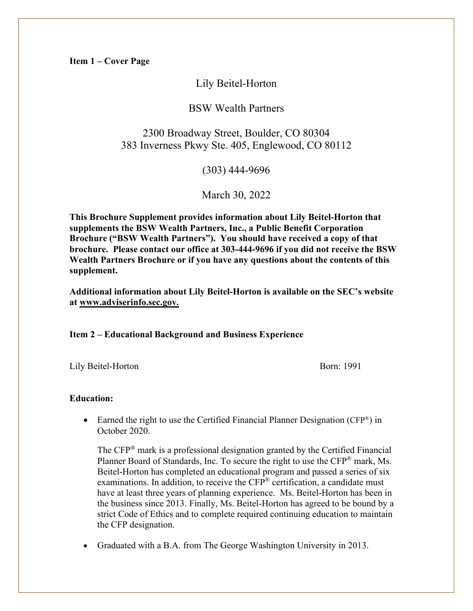## Lily Beitel-Horton

## BSW Wealth Partners

# 2300 Broadway Street, Boulder, CO 80304 383 Inverness Pkwy Ste. 405, Englewood, CO 80112

(303) 444-9696

March 30, 2022

**This Brochure Supplement provides information about Lily Beitel-Horton that supplements the BSW Wealth Partners, Inc., a Public Benefit Corporation Brochure ("BSW Wealth Partners"). You should have received a copy of that brochure. Please contact our office at 303-444-9696 if you did not receive the BSW Wealth Partners Brochure or if you have any questions about the contents of this supplement.**

**Additional information about Lily Beitel-Horton is available on the SEC's website at www.adviserinfo.sec.gov.**

### **Item 2 – Educational Background and Business Experience**

Lily Beitel-Horton Born: 1991

#### **Education:**

• Earned the right to use the Certified Financial Planner Designation (CFP<sup>®</sup>) in October 2020.

The CFP® mark is a professional designation granted by the Certified Financial Planner Board of Standards, Inc. To secure the right to use the CFP® mark, Ms. Beitel-Horton has completed an educational program and passed a series of six examinations. In addition, to receive the CFP<sup>®</sup> certification, a candidate must have at least three years of planning experience. Ms. Beitel-Horton has been in the business since 2013. Finally, Ms. Beitel-Horton has agreed to be bound by a strict Code of Ethics and to complete required continuing education to maintain the CFP designation.

• Graduated with a B.A. from The George Washington University in 2013.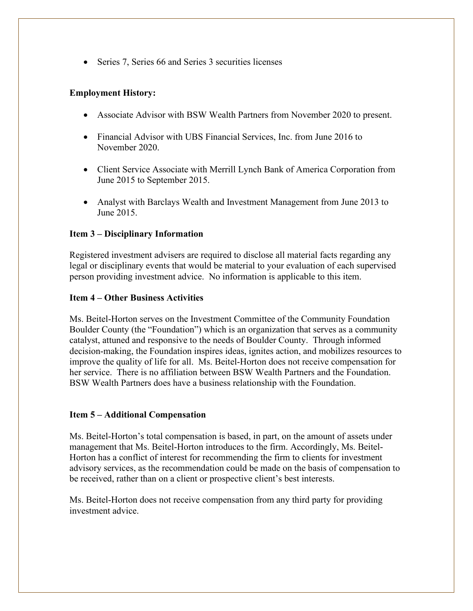• Series 7, Series 66 and Series 3 securities licenses

### **Employment History:**

- Associate Advisor with BSW Wealth Partners from November 2020 to present.
- Financial Advisor with UBS Financial Services, Inc. from June 2016 to November 2020.
- Client Service Associate with Merrill Lynch Bank of America Corporation from June 2015 to September 2015.
- Analyst with Barclays Wealth and Investment Management from June 2013 to June 2015.

### **Item 3 – Disciplinary Information**

Registered investment advisers are required to disclose all material facts regarding any legal or disciplinary events that would be material to your evaluation of each supervised person providing investment advice. No information is applicable to this item.

### **Item 4 – Other Business Activities**

Ms. Beitel-Horton serves on the Investment Committee of the Community Foundation Boulder County (the "Foundation") which is an organization that serves as a community catalyst, attuned and responsive to the needs of Boulder County. Through informed decision-making, the Foundation inspires ideas, ignites action, and mobilizes resources to improve the quality of life for all. Ms. Beitel-Horton does not receive compensation for her service. There is no affiliation between BSW Wealth Partners and the Foundation. BSW Wealth Partners does have a business relationship with the Foundation.

### **Item 5 – Additional Compensation**

Ms. Beitel-Horton's total compensation is based, in part, on the amount of assets under management that Ms. Beitel-Horton introduces to the firm. Accordingly, Ms. Beitel-Horton has a conflict of interest for recommending the firm to clients for investment advisory services, as the recommendation could be made on the basis of compensation to be received, rather than on a client or prospective client's best interests.

Ms. Beitel-Horton does not receive compensation from any third party for providing investment advice.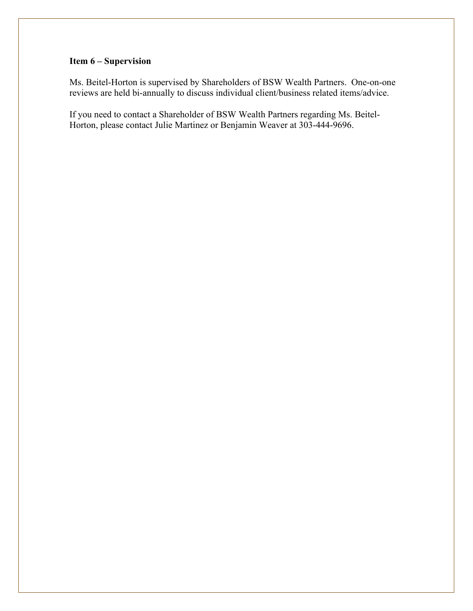## **Item 6 – Supervision**

Ms. Beitel-Horton is supervised by Shareholders of BSW Wealth Partners. One-on-one reviews are held bi-annually to discuss individual client/business related items/advice.

If you need to contact a Shareholder of BSW Wealth Partners regarding Ms. Beitel-Horton, please contact Julie Martinez or Benjamin Weaver at 303-444-9696.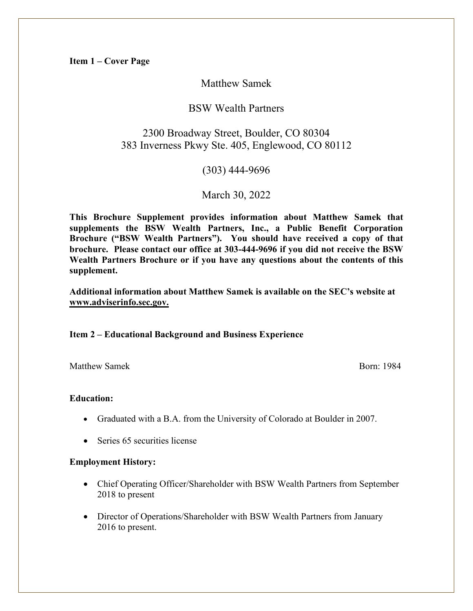Matthew Samek

## BSW Wealth Partners

# 2300 Broadway Street, Boulder, CO 80304 383 Inverness Pkwy Ste. 405, Englewood, CO 80112

(303) 444-9696

March 30, 2022

**This Brochure Supplement provides information about Matthew Samek that supplements the BSW Wealth Partners, Inc., a Public Benefit Corporation Brochure ("BSW Wealth Partners"). You should have received a copy of that brochure. Please contact our office at 303-444-9696 if you did not receive the BSW Wealth Partners Brochure or if you have any questions about the contents of this supplement.**

**Additional information about Matthew Samek is available on the SEC's website at www.adviserinfo.sec.gov.**

**Item 2 – Educational Background and Business Experience**

Matthew Samek Born: 1984

#### **Education:**

- Graduated with a B.A. from the University of Colorado at Boulder in 2007.
- Series 65 securities license

### **Employment History:**

- Chief Operating Officer/Shareholder with BSW Wealth Partners from September 2018 to present
- Director of Operations/Shareholder with BSW Wealth Partners from January 2016 to present.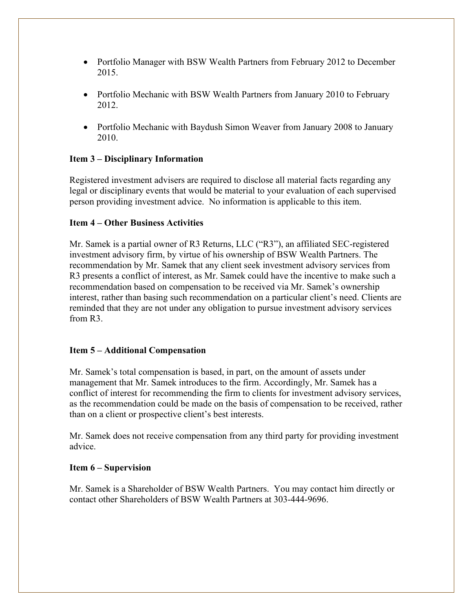- Portfolio Manager with BSW Wealth Partners from February 2012 to December 2015.
- Portfolio Mechanic with BSW Wealth Partners from January 2010 to February 2012.
- Portfolio Mechanic with Baydush Simon Weaver from January 2008 to January 2010.

### **Item 3 – Disciplinary Information**

Registered investment advisers are required to disclose all material facts regarding any legal or disciplinary events that would be material to your evaluation of each supervised person providing investment advice. No information is applicable to this item.

### **Item 4 – Other Business Activities**

Mr. Samek is a partial owner of R3 Returns, LLC ("R3"), an affiliated SEC-registered investment advisory firm, by virtue of his ownership of BSW Wealth Partners. The recommendation by Mr. Samek that any client seek investment advisory services from R3 presents a conflict of interest, as Mr. Samek could have the incentive to make such a recommendation based on compensation to be received via Mr. Samek's ownership interest, rather than basing such recommendation on a particular client's need. Clients are reminded that they are not under any obligation to pursue investment advisory services from R3.

## **Item 5 – Additional Compensation**

Mr. Samek's total compensation is based, in part, on the amount of assets under management that Mr. Samek introduces to the firm. Accordingly, Mr. Samek has a conflict of interest for recommending the firm to clients for investment advisory services, as the recommendation could be made on the basis of compensation to be received, rather than on a client or prospective client's best interests.

Mr. Samek does not receive compensation from any third party for providing investment advice.

### **Item 6 – Supervision**

Mr. Samek is a Shareholder of BSW Wealth Partners. You may contact him directly or contact other Shareholders of BSW Wealth Partners at 303-444-9696.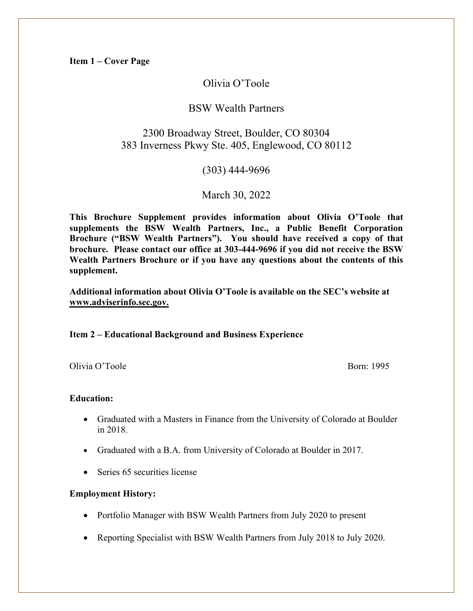## Olivia O'Toole

## BSW Wealth Partners

# 2300 Broadway Street, Boulder, CO 80304 383 Inverness Pkwy Ste. 405, Englewood, CO 80112

(303) 444-9696

## March 30, 2022

**This Brochure Supplement provides information about Olivia O'Toole that supplements the BSW Wealth Partners, Inc., a Public Benefit Corporation Brochure ("BSW Wealth Partners"). You should have received a copy of that brochure. Please contact our office at 303-444-9696 if you did not receive the BSW Wealth Partners Brochure or if you have any questions about the contents of this supplement.**

**Additional information about Olivia O'Toole is available on the SEC's website at www.adviserinfo.sec.gov.**

### **Item 2 – Educational Background and Business Experience**

Olivia O'Toole Born: 1995

### **Education:**

- Graduated with a Masters in Finance from the University of Colorado at Boulder in 2018.
- Graduated with a B.A. from University of Colorado at Boulder in 2017.
- Series 65 securities license

### **Employment History:**

- Portfolio Manager with BSW Wealth Partners from July 2020 to present
- Reporting Specialist with BSW Wealth Partners from July 2018 to July 2020.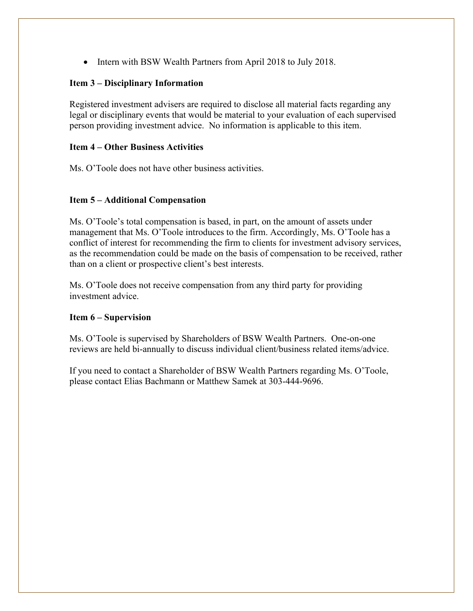• Intern with BSW Wealth Partners from April 2018 to July 2018.

### **Item 3 – Disciplinary Information**

Registered investment advisers are required to disclose all material facts regarding any legal or disciplinary events that would be material to your evaluation of each supervised person providing investment advice. No information is applicable to this item.

### **Item 4 – Other Business Activities**

Ms. O'Toole does not have other business activities.

### **Item 5 – Additional Compensation**

Ms. O'Toole's total compensation is based, in part, on the amount of assets under management that Ms. O'Toole introduces to the firm. Accordingly, Ms. O'Toole has a conflict of interest for recommending the firm to clients for investment advisory services, as the recommendation could be made on the basis of compensation to be received, rather than on a client or prospective client's best interests.

Ms. O'Toole does not receive compensation from any third party for providing investment advice.

### **Item 6 – Supervision**

Ms. O'Toole is supervised by Shareholders of BSW Wealth Partners. One-on-one reviews are held bi-annually to discuss individual client/business related items/advice.

If you need to contact a Shareholder of BSW Wealth Partners regarding Ms. O'Toole, please contact Elias Bachmann or Matthew Samek at 303-444-9696.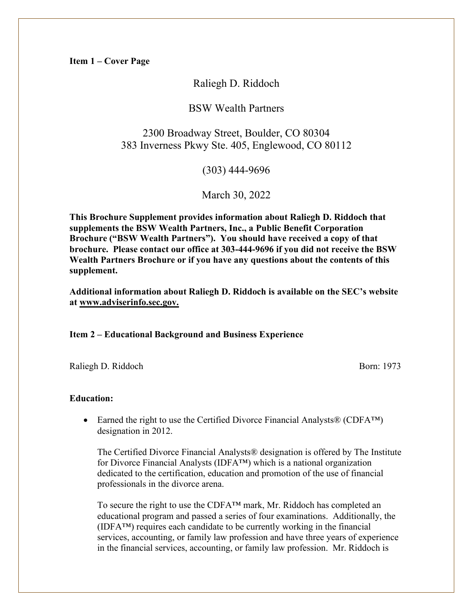Raliegh D. Riddoch

## BSW Wealth Partners

# 2300 Broadway Street, Boulder, CO 80304 383 Inverness Pkwy Ste. 405, Englewood, CO 80112

(303) 444-9696

March 30, 2022

**This Brochure Supplement provides information about Raliegh D. Riddoch that supplements the BSW Wealth Partners, Inc., a Public Benefit Corporation Brochure ("BSW Wealth Partners"). You should have received a copy of that brochure. Please contact our office at 303-444-9696 if you did not receive the BSW Wealth Partners Brochure or if you have any questions about the contents of this supplement.**

**Additional information about Raliegh D. Riddoch is available on the SEC's website at www.adviserinfo.sec.gov.**

### **Item 2 – Educational Background and Business Experience**

Raliegh D. Riddoch Born: 1973

#### **Education:**

• Earned the right to use the Certified Divorce Financial Analysts® (CDFA<sup>TM</sup>) designation in 2012.

The Certified Divorce Financial Analysts® designation is offered by The Institute for Divorce Financial Analysts (IDFA™) which is a national organization dedicated to the certification, education and promotion of the use of financial professionals in the divorce arena.

To secure the right to use the CDFA™ mark, Mr. Riddoch has completed an educational program and passed a series of four examinations. Additionally, the (IDFA™) requires each candidate to be currently working in the financial services, accounting, or family law profession and have three years of experience in the financial services, accounting, or family law profession. Mr. Riddoch is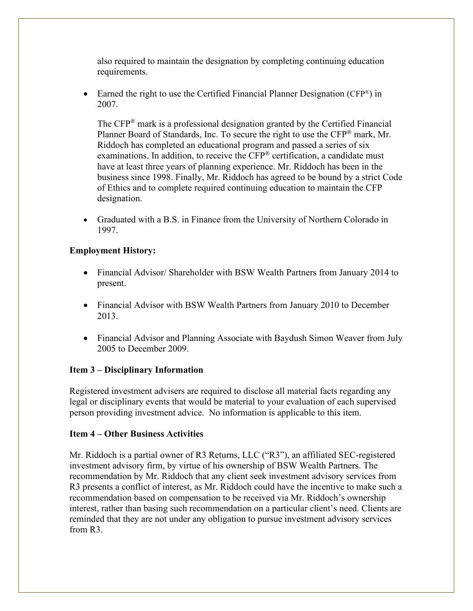also required to maintain the designation by completing continuing education requirements.

• Earned the right to use the Certified Financial Planner Designation ( $CFP^{\mathfrak{g}}$ ) in 2007.

The CFP® mark is a professional designation granted by the Certified Financial Planner Board of Standards, Inc. To secure the right to use the CFP® mark, Mr. Riddoch has completed an educational program and passed a series of six examinations. In addition, to receive the  $CFP^*$  certification, a candidate must have at least three years of planning experience. Mr. Riddoch has been in the business since 1998. Finally, Mr. Riddoch has agreed to be bound by a strict Code of Ethics and to complete required continuing education to maintain the CFP designation.

• Graduated with a B.S. in Finance from the University of Northern Colorado in 1997.

## **Employment History:**

- Financial Advisor/ Shareholder with BSW Wealth Partners from January 2014 to present.
- Financial Advisor with BSW Wealth Partners from January 2010 to December 2013.
- Financial Advisor and Planning Associate with Baydush Simon Weaver from July 2005 to December 2009.

## **Item 3 – Disciplinary Information**

Registered investment advisers are required to disclose all material facts regarding any legal or disciplinary events that would be material to your evaluation of each supervised person providing investment advice. No information is applicable to this item.

## **Item 4 – Other Business Activities**

Mr. Riddoch is a partial owner of R3 Returns, LLC ("R3"), an affiliated SEC-registered investment advisory firm, by virtue of his ownership of BSW Wealth Partners. The recommendation by Mr. Riddoch that any client seek investment advisory services from R3 presents a conflict of interest, as Mr. Riddoch could have the incentive to make such a recommendation based on compensation to be received via Mr. Riddoch's ownership interest, rather than basing such recommendation on a particular client's need. Clients are reminded that they are not under any obligation to pursue investment advisory services from R3.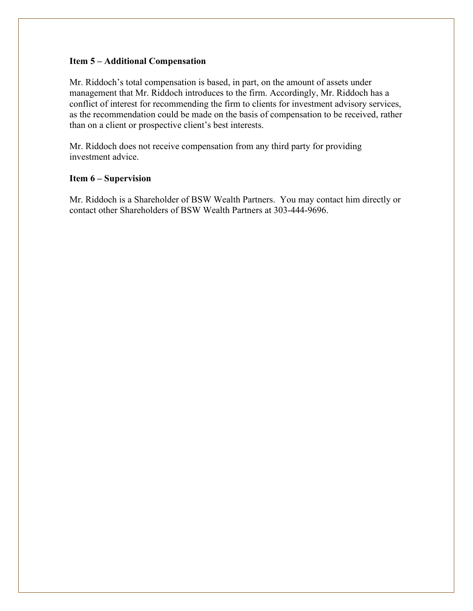### **Item 5 – Additional Compensation**

Mr. Riddoch's total compensation is based, in part, on the amount of assets under management that Mr. Riddoch introduces to the firm. Accordingly, Mr. Riddoch has a conflict of interest for recommending the firm to clients for investment advisory services, as the recommendation could be made on the basis of compensation to be received, rather than on a client or prospective client's best interests.

Mr. Riddoch does not receive compensation from any third party for providing investment advice.

#### **Item 6 – Supervision**

Mr. Riddoch is a Shareholder of BSW Wealth Partners. You may contact him directly or contact other Shareholders of BSW Wealth Partners at 303-444-9696.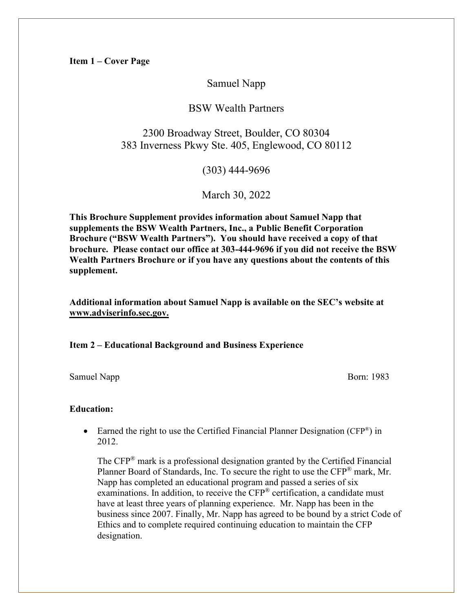Samuel Napp

## BSW Wealth Partners

# 2300 Broadway Street, Boulder, CO 80304 383 Inverness Pkwy Ste. 405, Englewood, CO 80112

(303) 444-9696

March 30, 2022

**This Brochure Supplement provides information about Samuel Napp that supplements the BSW Wealth Partners, Inc., a Public Benefit Corporation Brochure ("BSW Wealth Partners"). You should have received a copy of that brochure. Please contact our office at 303-444-9696 if you did not receive the BSW Wealth Partners Brochure or if you have any questions about the contents of this supplement.**

**Additional information about Samuel Napp is available on the SEC's website at www.adviserinfo.sec.gov.**

**Item 2 – Educational Background and Business Experience**

Samuel Napp Born: 1983

#### **Education:**

• Earned the right to use the Certified Financial Planner Designation (CFP<sup>®</sup>) in 2012.

The CFP® mark is a professional designation granted by the Certified Financial Planner Board of Standards, Inc. To secure the right to use the  $CFP^*$  mark, Mr. Napp has completed an educational program and passed a series of six examinations. In addition, to receive the CFP<sup>®</sup> certification, a candidate must have at least three years of planning experience. Mr. Napp has been in the business since 2007. Finally, Mr. Napp has agreed to be bound by a strict Code of Ethics and to complete required continuing education to maintain the CFP designation.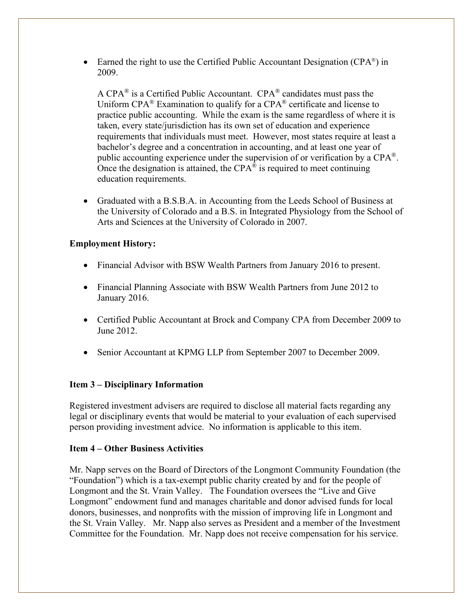• Earned the right to use the Certified Public Accountant Designation (CPA<sup>®</sup>) in 2009.

A CPA® is a Certified Public Accountant. CPA® candidates must pass the Uniform CPA<sup>®</sup> Examination to qualify for a CPA<sup>®</sup> certificate and license to practice public accounting. While the exam is the same regardless of where it is taken, every state/jurisdiction has its own set of education and experience requirements that individuals must meet. However, most states require at least a bachelor's degree and a concentration in accounting, and at least one year of public accounting experience under the supervision of or verification by a  $CPA^{\circledast}$ . Once the designation is attained, the  $CPA^{\otimes}$  is required to meet continuing education requirements.

• Graduated with a B.S.B.A. in Accounting from the Leeds School of Business at the University of Colorado and a B.S. in Integrated Physiology from the School of Arts and Sciences at the University of Colorado in 2007.

### **Employment History:**

- Financial Advisor with BSW Wealth Partners from January 2016 to present.
- Financial Planning Associate with BSW Wealth Partners from June 2012 to January 2016.
- Certified Public Accountant at Brock and Company CPA from December 2009 to June 2012.
- Senior Accountant at KPMG LLP from September 2007 to December 2009.

### **Item 3 – Disciplinary Information**

Registered investment advisers are required to disclose all material facts regarding any legal or disciplinary events that would be material to your evaluation of each supervised person providing investment advice. No information is applicable to this item.

### **Item 4 – Other Business Activities**

Mr. Napp serves on the Board of Directors of the Longmont Community Foundation (the "Foundation") which is a tax-exempt public charity created by and for the people of Longmont and the St. Vrain Valley. The Foundation oversees the "Live and Give Longmont" endowment fund and manages charitable and donor advised funds for local donors, businesses, and nonprofits with the mission of improving life in Longmont and the St. Vrain Valley. Mr. Napp also serves as President and a member of the Investment Committee for the Foundation. Mr. Napp does not receive compensation for his service.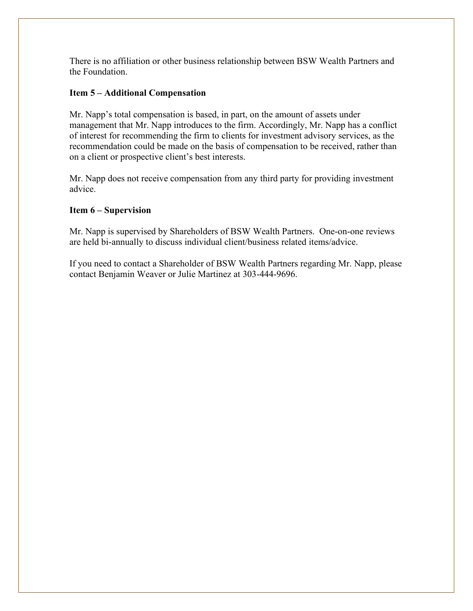There is no affiliation or other business relationship between BSW Wealth Partners and the Foundation.

### **Item 5 – Additional Compensation**

Mr. Napp's total compensation is based, in part, on the amount of assets under management that Mr. Napp introduces to the firm. Accordingly, Mr. Napp has a conflict of interest for recommending the firm to clients for investment advisory services, as the recommendation could be made on the basis of compensation to be received, rather than on a client or prospective client's best interests.

Mr. Napp does not receive compensation from any third party for providing investment advice.

### **Item 6 – Supervision**

Mr. Napp is supervised by Shareholders of BSW Wealth Partners. One-on-one reviews are held bi-annually to discuss individual client/business related items/advice.

If you need to contact a Shareholder of BSW Wealth Partners regarding Mr. Napp, please contact Benjamin Weaver or Julie Martinez at 303-444-9696.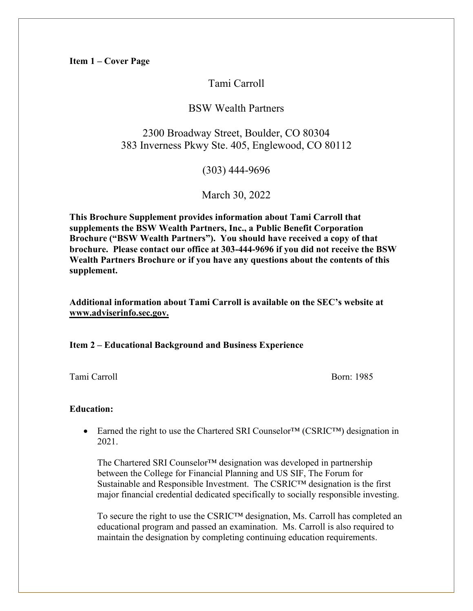**Item 1 – Cover Page**

# Tami Carroll

# BSW Wealth Partners

# 2300 Broadway Street, Boulder, CO 80304 383 Inverness Pkwy Ste. 405, Englewood, CO 80112

(303) 444-9696

March 30, 2022

**This Brochure Supplement provides information about Tami Carroll that supplements the BSW Wealth Partners, Inc., a Public Benefit Corporation Brochure ("BSW Wealth Partners"). You should have received a copy of that brochure. Please contact our office at 303-444-9696 if you did not receive the BSW Wealth Partners Brochure or if you have any questions about the contents of this supplement.**

**Additional information about Tami Carroll is available on the SEC's website at www.adviserinfo.sec.gov.**

**Item 2 – Educational Background and Business Experience**

Tami Carroll Born: 1985

### **Education:**

• Earned the right to use the Chartered SRI Counselor™ (CSRIC™) designation in 2021.

The Chartered SRI Counselor™ designation was developed in partnership between the College for Financial Planning and US SIF, The Forum for Sustainable and Responsible Investment. The CSRIC™ designation is the first major financial credential dedicated specifically to socially responsible investing.

To secure the right to use the CSRIC™ designation, Ms. Carroll has completed an educational program and passed an examination. Ms. Carroll is also required to maintain the designation by completing continuing education requirements.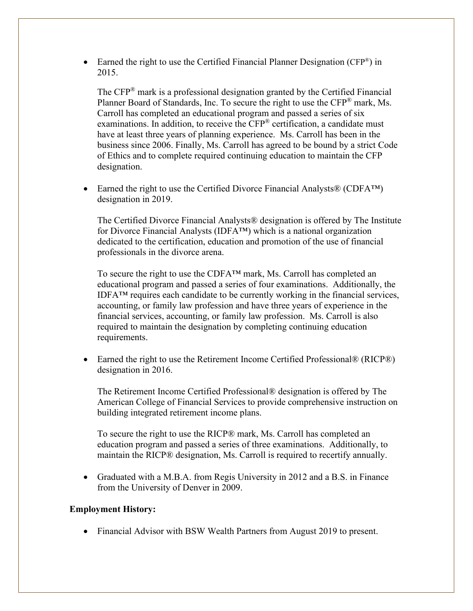• Earned the right to use the Certified Financial Planner Designation (CFP<sup>®</sup>) in 2015.

The CFP® mark is a professional designation granted by the Certified Financial Planner Board of Standards, Inc. To secure the right to use the CFP® mark, Ms. Carroll has completed an educational program and passed a series of six examinations. In addition, to receive the CFP® certification, a candidate must have at least three years of planning experience. Ms. Carroll has been in the business since 2006. Finally, Ms. Carroll has agreed to be bound by a strict Code of Ethics and to complete required continuing education to maintain the CFP designation.

• Earned the right to use the Certified Divorce Financial Analysts® (CDFA<sup>™)</sup> designation in 2019.

The Certified Divorce Financial Analysts® designation is offered by The Institute for Divorce Financial Analysts (IDFA™) which is a national organization dedicated to the certification, education and promotion of the use of financial professionals in the divorce arena.

To secure the right to use the CDFA™ mark, Ms. Carroll has completed an educational program and passed a series of four examinations. Additionally, the IDFA™ requires each candidate to be currently working in the financial services, accounting, or family law profession and have three years of experience in the financial services, accounting, or family law profession. Ms. Carroll is also required to maintain the designation by completing continuing education requirements.

• Earned the right to use the Retirement Income Certified Professional® (RICP®) designation in 2016.

The Retirement Income Certified Professional® designation is offered by The American College of Financial Services to provide comprehensive instruction on building integrated retirement income plans.

To secure the right to use the RICP® mark, Ms. Carroll has completed an education program and passed a series of three examinations. Additionally, to maintain the RICP® designation, Ms. Carroll is required to recertify annually.

• Graduated with a M.B.A. from Regis University in 2012 and a B.S. in Finance from the University of Denver in 2009.

### **Employment History:**

• Financial Advisor with BSW Wealth Partners from August 2019 to present.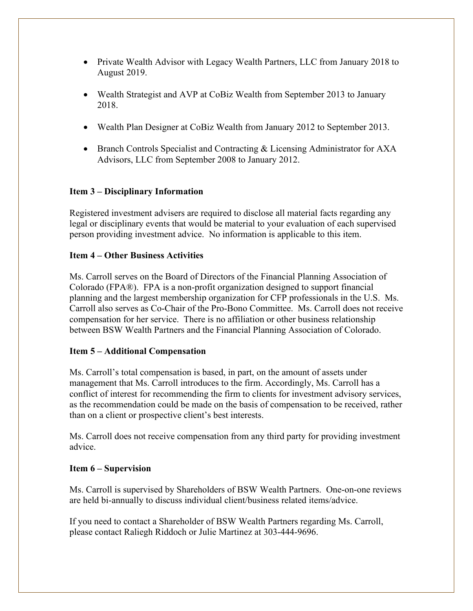- Private Wealth Advisor with Legacy Wealth Partners, LLC from January 2018 to August 2019.
- Wealth Strategist and AVP at CoBiz Wealth from September 2013 to January 2018.
- Wealth Plan Designer at CoBiz Wealth from January 2012 to September 2013.
- Branch Controls Specialist and Contracting & Licensing Administrator for AXA Advisors, LLC from September 2008 to January 2012.

# **Item 3 – Disciplinary Information**

Registered investment advisers are required to disclose all material facts regarding any legal or disciplinary events that would be material to your evaluation of each supervised person providing investment advice. No information is applicable to this item.

## **Item 4 – Other Business Activities**

Ms. Carroll serves on the Board of Directors of the Financial Planning Association of Colorado (FPA®). FPA is a non-profit organization designed to support financial planning and the largest membership organization for CFP professionals in the U.S. Ms. Carroll also serves as Co-Chair of the Pro-Bono Committee. Ms. Carroll does not receive compensation for her service. There is no affiliation or other business relationship between BSW Wealth Partners and the Financial Planning Association of Colorado.

## **Item 5 – Additional Compensation**

Ms. Carroll's total compensation is based, in part, on the amount of assets under management that Ms. Carroll introduces to the firm. Accordingly, Ms. Carroll has a conflict of interest for recommending the firm to clients for investment advisory services, as the recommendation could be made on the basis of compensation to be received, rather than on a client or prospective client's best interests.

Ms. Carroll does not receive compensation from any third party for providing investment advice.

## **Item 6 – Supervision**

Ms. Carroll is supervised by Shareholders of BSW Wealth Partners. One-on-one reviews are held bi-annually to discuss individual client/business related items/advice.

If you need to contact a Shareholder of BSW Wealth Partners regarding Ms. Carroll, please contact Raliegh Riddoch or Julie Martinez at 303-444-9696.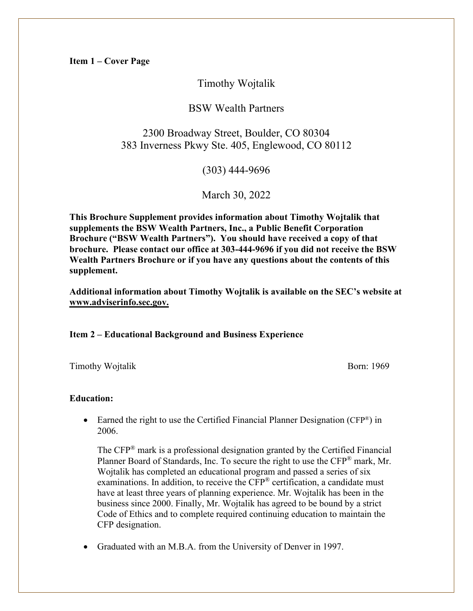**Item 1 – Cover Page**

Timothy Wojtalik

# BSW Wealth Partners

# 2300 Broadway Street, Boulder, CO 80304 383 Inverness Pkwy Ste. 405, Englewood, CO 80112

(303) 444-9696

March 30, 2022

**This Brochure Supplement provides information about Timothy Wojtalik that supplements the BSW Wealth Partners, Inc., a Public Benefit Corporation Brochure ("BSW Wealth Partners"). You should have received a copy of that brochure. Please contact our office at 303-444-9696 if you did not receive the BSW Wealth Partners Brochure or if you have any questions about the contents of this supplement.**

**Additional information about Timothy Wojtalik is available on the SEC's website at www.adviserinfo.sec.gov.**

### **Item 2 – Educational Background and Business Experience**

Timothy Wojtalik Born: 1969

### **Education:**

• Earned the right to use the Certified Financial Planner Designation (CFP<sup>®</sup>) in 2006.

The CFP® mark is a professional designation granted by the Certified Financial Planner Board of Standards, Inc. To secure the right to use the CFP® mark, Mr. Wojtalik has completed an educational program and passed a series of six examinations. In addition, to receive the CFP<sup>®</sup> certification, a candidate must have at least three years of planning experience. Mr. Wojtalik has been in the business since 2000. Finally, Mr. Wojtalik has agreed to be bound by a strict Code of Ethics and to complete required continuing education to maintain the CFP designation.

• Graduated with an M.B.A. from the University of Denver in 1997.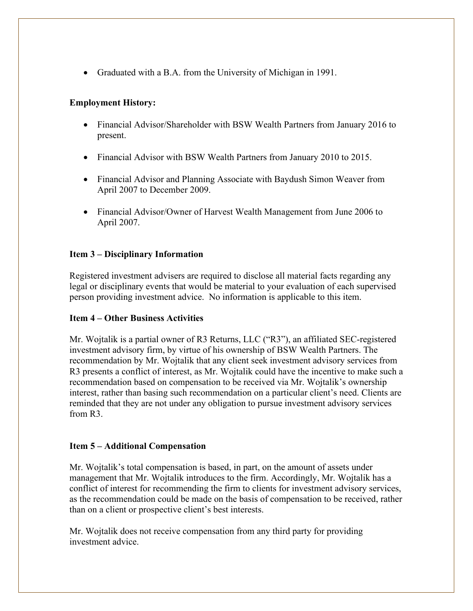• Graduated with a B.A. from the University of Michigan in 1991.

### **Employment History:**

- Financial Advisor/Shareholder with BSW Wealth Partners from January 2016 to present.
- Financial Advisor with BSW Wealth Partners from January 2010 to 2015.
- Financial Advisor and Planning Associate with Baydush Simon Weaver from April 2007 to December 2009.
- Financial Advisor/Owner of Harvest Wealth Management from June 2006 to April 2007.

## **Item 3 – Disciplinary Information**

Registered investment advisers are required to disclose all material facts regarding any legal or disciplinary events that would be material to your evaluation of each supervised person providing investment advice. No information is applicable to this item.

## **Item 4 – Other Business Activities**

Mr. Wojtalik is a partial owner of R3 Returns, LLC ("R3"), an affiliated SEC-registered investment advisory firm, by virtue of his ownership of BSW Wealth Partners. The recommendation by Mr. Wojtalik that any client seek investment advisory services from R3 presents a conflict of interest, as Mr. Wojtalik could have the incentive to make such a recommendation based on compensation to be received via Mr. Wojtalik's ownership interest, rather than basing such recommendation on a particular client's need. Clients are reminded that they are not under any obligation to pursue investment advisory services from R3.

## **Item 5 – Additional Compensation**

Mr. Wojtalik's total compensation is based, in part, on the amount of assets under management that Mr. Wojtalik introduces to the firm. Accordingly, Mr. Wojtalik has a conflict of interest for recommending the firm to clients for investment advisory services, as the recommendation could be made on the basis of compensation to be received, rather than on a client or prospective client's best interests.

Mr. Wojtalik does not receive compensation from any third party for providing investment advice.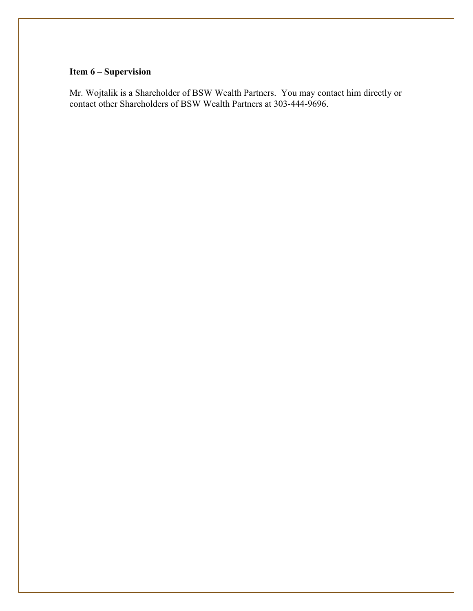## **Item 6 – Supervision**

Mr. Wojtalik is a Shareholder of BSW Wealth Partners. You may contact him directly or contact other Shareholders of BSW Wealth Partners at 303-444-9696.